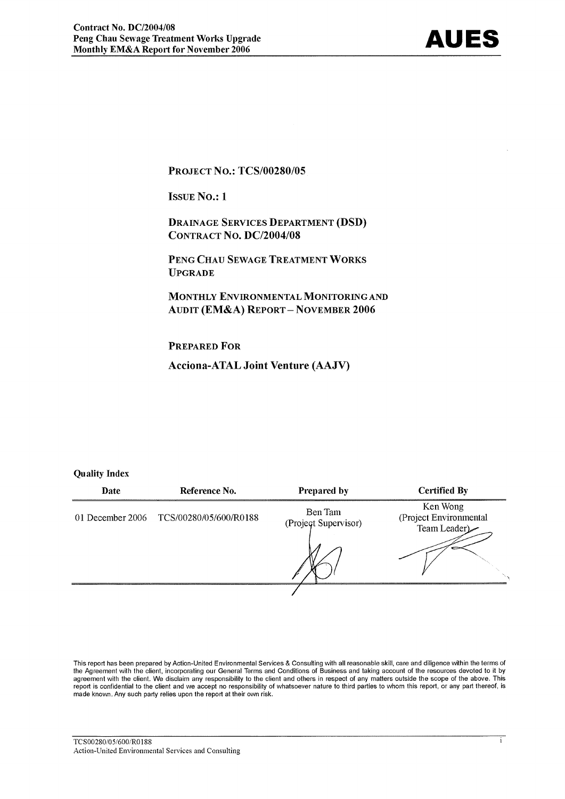**PROJECT NO.: TCS/00280/05** 

**ISSUE No.: 1** 

**DRAINAGE SERVICES DEPARTMENT (DSD) CONTRACT NO. DC/2004/08** 

PENG CHAU SEWAGE TREATMENT WORKS **UPGRADE** 

MONTHLY ENVIRONMENTAL MONITORING AND **AUDIT (EM&A) REPORT-NOVEMBER 2006** 

**PREPARED FOR** 

**Acciona-ATAL Joint Venture (AAJV)** 

#### **Quality Index**

| Date | Reference No.                           | <b>Prepared by</b>              | <b>Certified By</b>                                |
|------|-----------------------------------------|---------------------------------|----------------------------------------------------|
|      | 01 December 2006 TCS/00280/05/600/R0188 | Ben Tam<br>(Project Supervisor) | Ken Wong<br>(Project Environmental<br>Team Leader) |
|      |                                         |                                 |                                                    |

This report has been prepared by Action-United Environmental Services & Consulting with all reasonable skill, care and diligence within the terms of the Agreement with the client, incorporating our General Terms and Conditions of Business and taking account of the resources devoted to it by agreement with the client. We disclaim any responsibility to the client and others in respect of any matters outside the scope of the above. This report is confidential to the client and we accept no responsibility of whatsoever nature to third parties to whom this report, or any part thereof, is made known. Any such party relies upon the report at their own risk.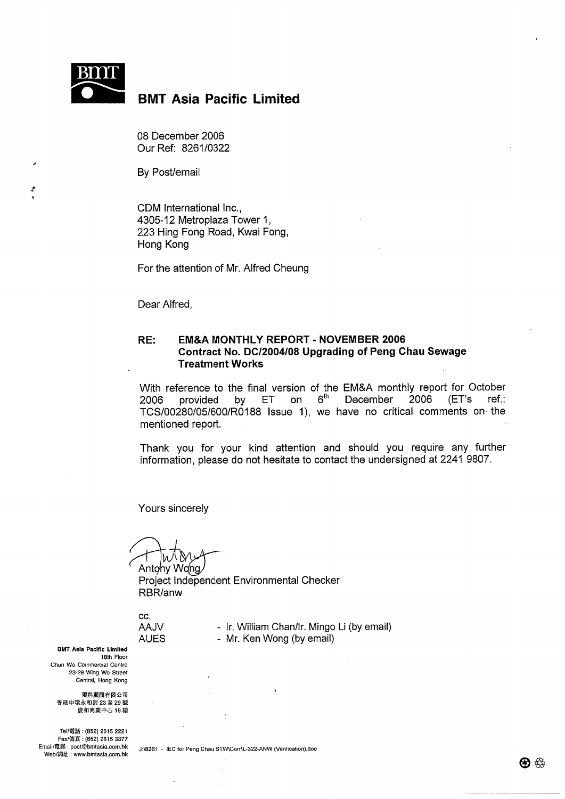

#### **BMT Asia Pacific Limited**

08 December 2006 Our Ref: 8261/0322

By Post/email

CDM International Inc.. 4305-12 Metroplaza Tower 1, 223 Hing Fong Road, Kwai Fong, Hong Kong

For the attention of Mr. Alfred Cheung

Dear Alfred,

#### RE: **EM&A MONTHLY REPORT - NOVEMBER 2006** Contract No. DC/2004/08 Upgrading of Peng Chau Sewage **Treatment Works**

With reference to the final version of the EM&A monthly report for October provided by ET on 6<sup>th</sup> 2006 December 2006  $E^{\prime}$ s ref∴ TCS/00280/05/600/R0188 Issue 1), we have no critical comments on the mentioned report.

Thank you for your kind attention and should you require any further information, please do not hesitate to contact the undersigned at 2241 9807.

Yours sincerely

Antony Wong Project Independent Environmental Checker RBR/anw

CC. **AAJV AUES** 

- Ir. William Chan/Ir. Mingo Li (by email) - Mr. Ken Wong (by email)

**BMT Asia Pacific Limited** 18th Floor Chun Wo Commercial Centre 23-29 Wing Wo Street Central, Hong Kong

環科顧問有限公司 香港中環永和街 23 至 29 號 俊和商業中心 18 樓

Tel/電話: (852) 2815 2221 Fax/傅真: (852) 2815 3377 Email/電郵: post@bmtasia.com.hk Web/網址: www.bmtasia.com.hk

J:\8261 - IEC for Peng Chau STW\Corr\L-322-ANW (Verification).doc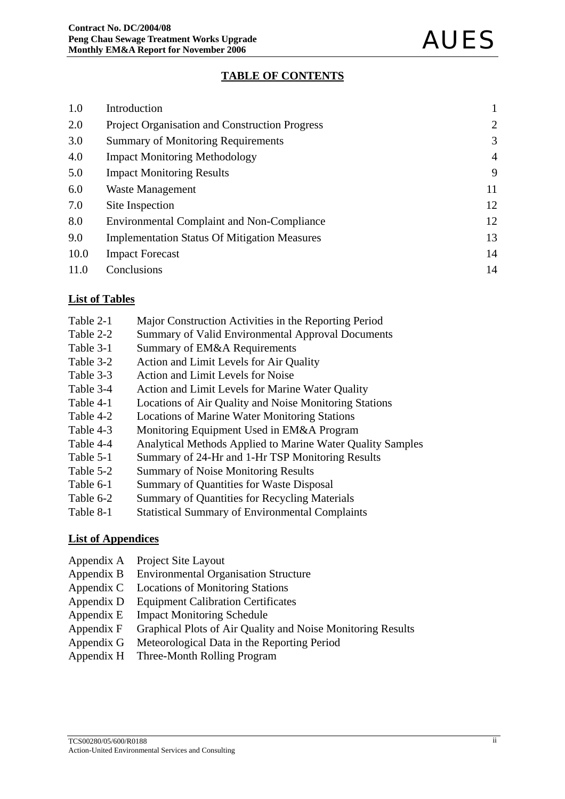#### **TABLE OF CONTENTS**

| 1.0  | Introduction                                          |                |
|------|-------------------------------------------------------|----------------|
| 2.0  | <b>Project Organisation and Construction Progress</b> | $\overline{2}$ |
| 3.0  | <b>Summary of Monitoring Requirements</b>             | 3              |
| 4.0  | <b>Impact Monitoring Methodology</b>                  | $\overline{4}$ |
| 5.0  | <b>Impact Monitoring Results</b>                      | 9              |
| 6.0  | <b>Waste Management</b>                               | 11             |
| 7.0  | Site Inspection                                       | 12             |
| 8.0  | <b>Environmental Complaint and Non-Compliance</b>     | 12             |
| 9.0  | <b>Implementation Status Of Mitigation Measures</b>   | 13             |
| 10.0 | <b>Impact Forecast</b>                                | 14             |
| 11.0 | Conclusions                                           | 14             |

#### **List of Tables**

- Table 2-1 Major Construction Activities in the Reporting Period
- Table 2-2 Summary of Valid Environmental Approval Documents
- Table 3-1 Summary of EM&A Requirements
- Table 3-2 Action and Limit Levels for Air Quality
- Table 3-3 Action and Limit Levels for Noise
- Table 3-4 Action and Limit Levels for Marine Water Quality
- Table 4-1 Locations of Air Quality and Noise Monitoring Stations
- Table 4-2 Locations of Marine Water Monitoring Stations
- Table 4-3 Monitoring Equipment Used in EM&A Program
- Table 4-4 Analytical Methods Applied to Marine Water Quality Samples
- Table 5-1 Summary of 24-Hr and 1-Hr TSP Monitoring Results
- Table 5-2 Summary of Noise Monitoring Results
- Table 6-1 Summary of Quantities for Waste Disposal
- Table 6-2 Summary of Quantities for Recycling Materials
- Table 8-1 Statistical Summary of Environmental Complaints

#### **List of Appendices**

- Appendix A Project Site Layout
- Appendix B Environmental Organisation Structure
- Appendix C Locations of Monitoring Stations
- Appendix D Equipment Calibration Certificates
- Appendix E Impact Monitoring Schedule
- Appendix F Graphical Plots of Air Quality and Noise Monitoring Results
- Appendix G Meteorological Data in the Reporting Period
- Appendix H Three-Month Rolling Program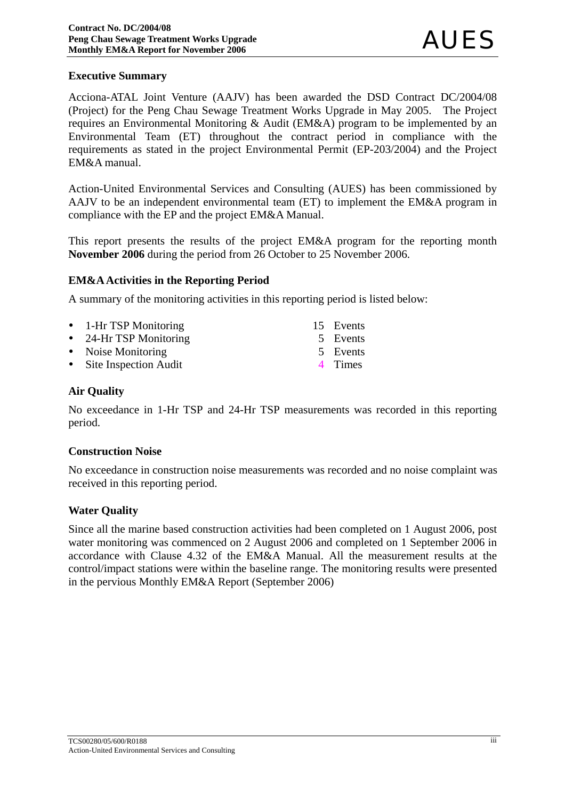#### **Executive Summary**

Acciona-ATAL Joint Venture (AAJV) has been awarded the DSD Contract DC/2004/08 (Project) for the Peng Chau Sewage Treatment Works Upgrade in May 2005. The Project requires an Environmental Monitoring & Audit (EM&A) program to be implemented by an Environmental Team (ET) throughout the contract period in compliance with the requirements as stated in the project Environmental Permit (EP-203/2004) and the Project EM&A manual.

Action-United Environmental Services and Consulting (AUES) has been commissioned by AAJV to be an independent environmental team (ET) to implement the EM&A program in compliance with the EP and the project EM&A Manual.

This report presents the results of the project EM&A program for the reporting month **November 2006** during the period from 26 October to 25 November 2006.

#### **EM&A Activities in the Reporting Period**

A summary of the monitoring activities in this reporting period is listed below:

| • 1-Hr TSP Monitoring   | 15 Events |
|-------------------------|-----------|
| • 24-Hr TSP Monitoring  | 5 Events  |
| • Noise Monitoring      | 5 Events  |
| • Site Inspection Audit | 4 Times   |

#### **Air Quality**

No exceedance in 1-Hr TSP and 24-Hr TSP measurements was recorded in this reporting period.

#### **Construction Noise**

No exceedance in construction noise measurements was recorded and no noise complaint was received in this reporting period.

#### **Water Quality**

Since all the marine based construction activities had been completed on 1 August 2006, post water monitoring was commenced on 2 August 2006 and completed on 1 September 2006 in accordance with Clause 4.32 of the EM&A Manual. All the measurement results at the control/impact stations were within the baseline range. The monitoring results were presented in the pervious Monthly EM&A Report (September 2006)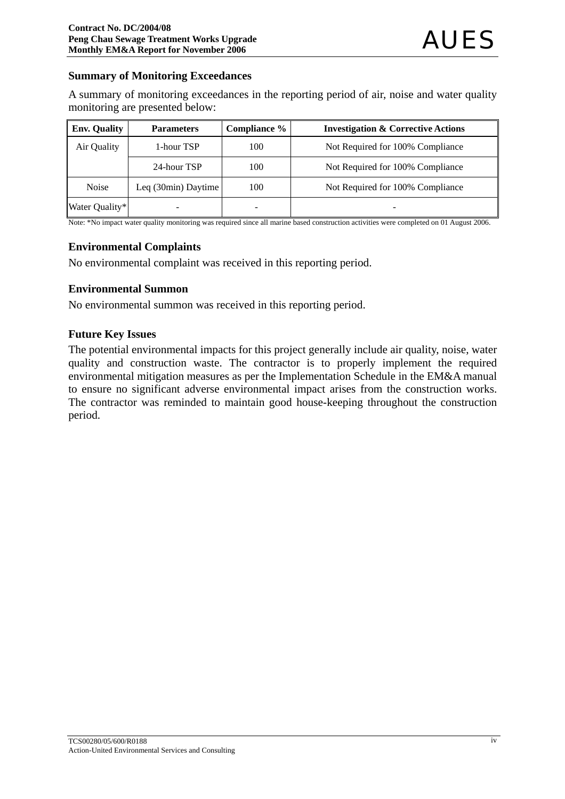#### **Summary of Monitoring Exceedances**

A summary of monitoring exceedances in the reporting period of air, noise and water quality monitoring are presented below:

| <b>Env. Quality</b> | <b>Parameters</b>   | Compliance % | <b>Investigation &amp; Corrective Actions</b> |
|---------------------|---------------------|--------------|-----------------------------------------------|
| Air Quality         | 1-hour TSP          | 100          | Not Required for 100% Compliance              |
|                     | 24-hour TSP         | 100          | Not Required for 100% Compliance              |
| <b>Noise</b>        | Leq (30min) Daytime | 100          | Not Required for 100% Compliance              |
| Water Quality*      |                     |              |                                               |

Note: \*No impact water quality monitoring was required since all marine based construction activities were completed on 01 August 2006.

#### **Environmental Complaints**

No environmental complaint was received in this reporting period.

#### **Environmental Summon**

No environmental summon was received in this reporting period.

#### **Future Key Issues**

The potential environmental impacts for this project generally include air quality, noise, water quality and construction waste. The contractor is to properly implement the required environmental mitigation measures as per the Implementation Schedule in the EM&A manual to ensure no significant adverse environmental impact arises from the construction works. The contractor was reminded to maintain good house-keeping throughout the construction period.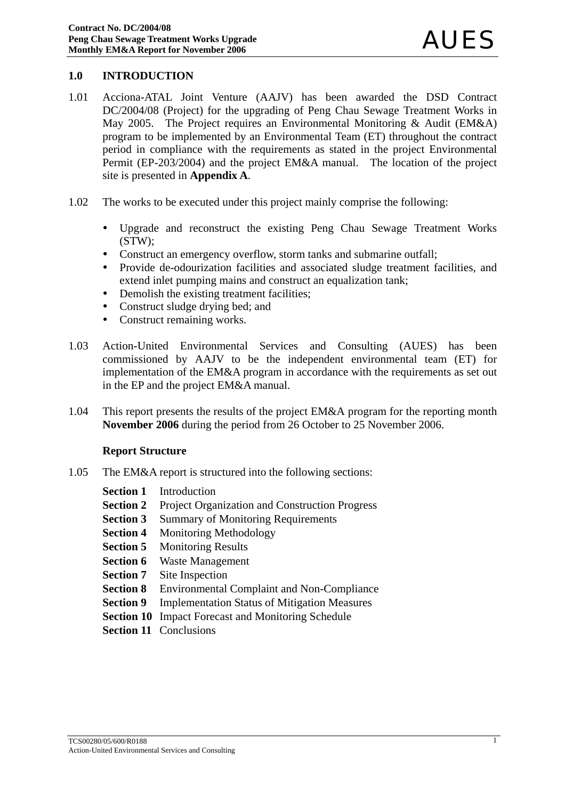#### **1.0 INTRODUCTION**

- 1.01 Acciona-ATAL Joint Venture (AAJV) has been awarded the DSD Contract DC/2004/08 (Project) for the upgrading of Peng Chau Sewage Treatment Works in May 2005. The Project requires an Environmental Monitoring & Audit (EM&A) program to be implemented by an Environmental Team (ET) throughout the contract period in compliance with the requirements as stated in the project Environmental Permit (EP-203/2004) and the project EM&A manual. The location of the project site is presented in **Appendix A**.
- 1.02 The works to be executed under this project mainly comprise the following:
	- Upgrade and reconstruct the existing Peng Chau Sewage Treatment Works (STW);
	- Construct an emergency overflow, storm tanks and submarine outfall;
	- Provide de-odourization facilities and associated sludge treatment facilities, and extend inlet pumping mains and construct an equalization tank;
	- Demolish the existing treatment facilities;
	- Construct sludge drying bed; and
	- Construct remaining works.
- 1.03 Action-United Environmental Services and Consulting (AUES) has been commissioned by AAJV to be the independent environmental team (ET) for implementation of the EM&A program in accordance with the requirements as set out in the EP and the project EM&A manual.
- 1.04 This report presents the results of the project EM&A program for the reporting month **November 2006** during the period from 26 October to 25 November 2006.

#### **Report Structure**

- 1.05 The EM&A report is structured into the following sections:
	- **Section 1** Introduction
	- **Section 2** Project Organization and Construction Progress
	- **Section 3** Summary of Monitoring Requirements
	- **Section 4** Monitoring Methodology
	- **Section 5** Monitoring Results
	- **Section 6** Waste Management
	- **Section 7** Site Inspection
	- **Section 8** Environmental Complaint and Non-Compliance
	- **Section 9** Implementation Status of Mitigation Measures
	- **Section 10** Impact Forecast and Monitoring Schedule
	- **Section 11 Conclusions**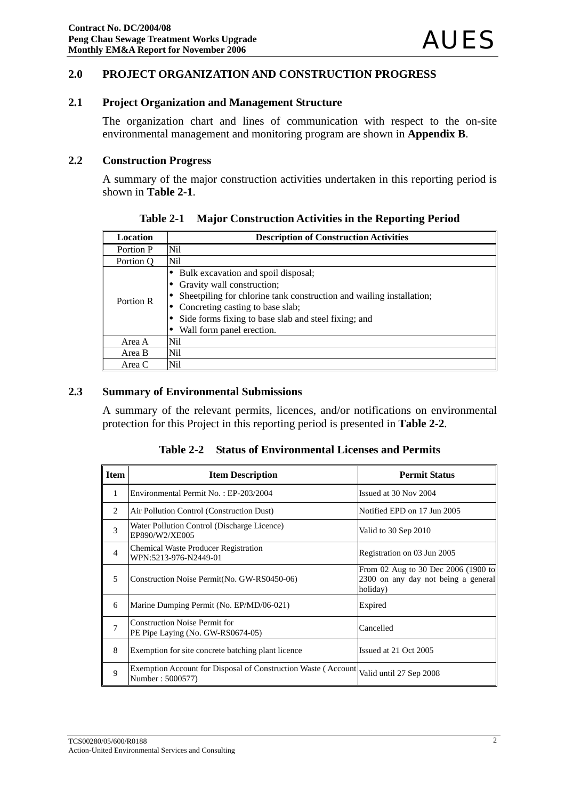#### **2.0 PROJECT ORGANIZATION AND CONSTRUCTION PROGRESS**

#### **2.1 Project Organization and Management Structure**

The organization chart and lines of communication with respect to the on-site environmental management and monitoring program are shown in **Appendix B**.

#### **2.2 Construction Progress**

A summary of the major construction activities undertaken in this reporting period is shown in **Table 2-1**.

| <b>Location</b> | <b>Description of Construction Activities</b>                                                                                                                                                                                                                          |
|-----------------|------------------------------------------------------------------------------------------------------------------------------------------------------------------------------------------------------------------------------------------------------------------------|
| Portion P       | Ni1                                                                                                                                                                                                                                                                    |
| Portion Q       | Nil                                                                                                                                                                                                                                                                    |
| Portion R       | Bulk excavation and spoil disposal;<br>• Gravity wall construction;<br>Sheetpiling for chlorine tank construction and wailing installation;<br>• Concreting casting to base slab;<br>Side forms fixing to base slab and steel fixing; and<br>Wall form panel erection. |
| Area A          | Ni1                                                                                                                                                                                                                                                                    |
| Area B          | Nil                                                                                                                                                                                                                                                                    |
| Area C          | Nil                                                                                                                                                                                                                                                                    |

**Table 2-1 Major Construction Activities in the Reporting Period**

#### **2.3 Summary of Environmental Submissions**

A summary of the relevant permits, licences, and/or notifications on environmental protection for this Project in this reporting period is presented in **Table 2-2***.* 

**Table 2-2 Status of Environmental Licenses and Permits** 

| <b>Item</b>    | <b>Item Description</b>                                                           | <b>Permit Status</b>                                                                   |
|----------------|-----------------------------------------------------------------------------------|----------------------------------------------------------------------------------------|
| 1              | Environmental Permit No.: EP-203/2004                                             | Issued at 30 Nov 2004                                                                  |
| 2              | Air Pollution Control (Construction Dust)                                         | Notified EPD on 17 Jun 2005                                                            |
| 3              | Water Pollution Control (Discharge Licence)<br>EP890/W2/XE005                     | Valid to 30 Sep 2010                                                                   |
| $\overline{4}$ | <b>Chemical Waste Producer Registration</b><br>WPN:5213-976-N2449-01              | Registration on 03 Jun 2005                                                            |
| 5              | Construction Noise Permit (No. GW-RS0450-06)                                      | From 02 Aug to 30 Dec 2006 (1900 to<br>2300 on any day not being a general<br>holiday) |
| 6              | Marine Dumping Permit (No. EP/MD/06-021)                                          | Expired                                                                                |
| 7              | <b>Construction Noise Permit for</b><br>PE Pipe Laying (No. GW-RS0674-05)         | Cancelled                                                                              |
| 8              | Exemption for site concrete batching plant licence                                | Issued at 21 Oct 2005                                                                  |
| 9              | Exemption Account for Disposal of Construction Waste (Account<br>Number: 5000577) | Valid until 27 Sep 2008                                                                |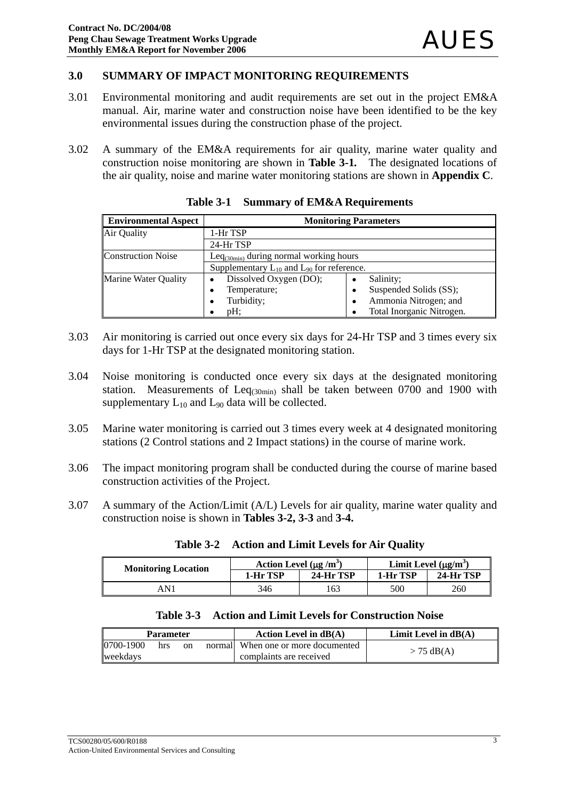#### **3.0 SUMMARY OF IMPACT MONITORING REQUIREMENTS**

- 3.01 Environmental monitoring and audit requirements are set out in the project EM&A manual. Air, marine water and construction noise have been identified to be the key environmental issues during the construction phase of the project.
- 3.02 A summary of the EM&A requirements for air quality, marine water quality and construction noise monitoring are shown in **Table 3-1***.* The designated locations of the air quality, noise and marine water monitoring stations are shown in **Appendix C**.

| <b>Environmental Aspect</b> | <b>Monitoring Parameters</b>                       |                             |  |  |
|-----------------------------|----------------------------------------------------|-----------------------------|--|--|
| Air Quality                 | 1-Hr TSP                                           |                             |  |  |
|                             | 24-Hr TSP                                          |                             |  |  |
| <b>Construction Noise</b>   | Le $q_{(30min)}$ during normal working hours       |                             |  |  |
|                             | Supplementary $L_{10}$ and $L_{90}$ for reference. |                             |  |  |
| <b>Marine Water Quality</b> | Dissolved Oxygen (DO);                             | Salinity;<br>$\bullet$      |  |  |
|                             | Temperature;<br>٠                                  | Suspended Solids (SS);<br>٠ |  |  |
|                             | Turbidity;                                         | Ammonia Nitrogen; and<br>٠  |  |  |
|                             | $pH$ :                                             | Total Inorganic Nitrogen.   |  |  |

**Table 3-1 Summary of EM&A Requirements**

- 3.03 Air monitoring is carried out once every six days for 24-Hr TSP and 3 times every six days for 1-Hr TSP at the designated monitoring station.
- 3.04 Noise monitoring is conducted once every six days at the designated monitoring station. Measurements of  $Leq<sub>(30min)</sub>$  shall be taken between 0700 and 1900 with supplementary  $L_{10}$  and  $L_{90}$  data will be collected.
- 3.05 Marine water monitoring is carried out 3 times every week at 4 designated monitoring stations (2 Control stations and 2 Impact stations) in the course of marine work.
- 3.06 The impact monitoring program shall be conducted during the course of marine based construction activities of the Project.
- 3.07 A summary of the Action/Limit (A/L) Levels for air quality, marine water quality and construction noise is shown in **Tables 3-2, 3-3** and **3-4.**

| <b>Monitoring Location</b> | Action Level $(\mu g/m^3)$ |           | Limit Level $(\mu g/m^3)$ |           |
|----------------------------|----------------------------|-----------|---------------------------|-----------|
|                            | 1-Hr TSP                   | 24-Hr TSP | 1-Hr TSP                  | 24-Hr TSP |
| 4 N 1                      | 346                        | 163       | 500                       | 260       |

**Table 3-2 Action and Limit Levels for Air Quality**

|  |  |  | Table 3-3 Action and Limit Levels for Construction Noise |  |
|--|--|--|----------------------------------------------------------|--|
|--|--|--|----------------------------------------------------------|--|

| <b>Parameter</b> |     |    | Action Level in $dB(A)$             | Limit Level in $dB(A)$ |
|------------------|-----|----|-------------------------------------|------------------------|
| 0700-1900        | hrs | on | normall When one or more documented | $> 75$ dB(A)           |
| weekdavs         |     |    | complaints are received             |                        |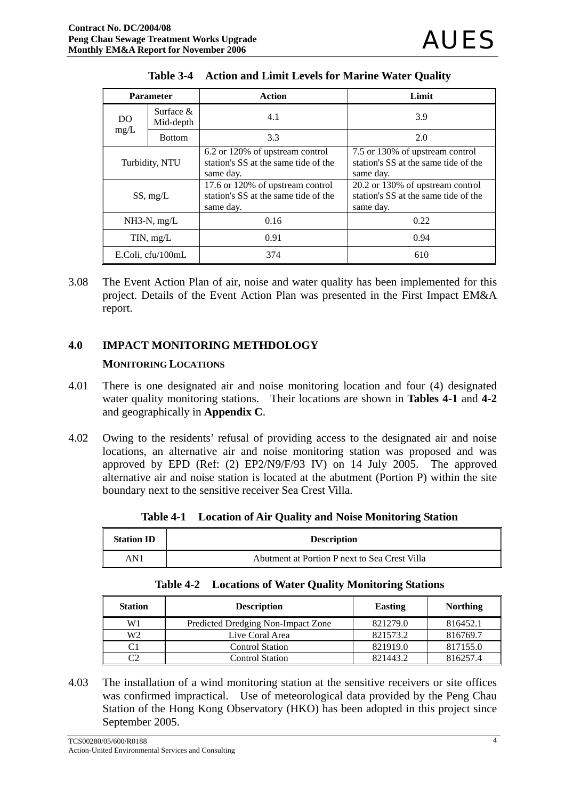| <b>Parameter</b>                |               | Action                                                                                | Limit                                                                                 |
|---------------------------------|---------------|---------------------------------------------------------------------------------------|---------------------------------------------------------------------------------------|
| Surface $\&$<br>DO<br>Mid-depth |               | 4.1                                                                                   | 3.9                                                                                   |
| mg/L                            | <b>Bottom</b> | 3.3                                                                                   | 2.0                                                                                   |
| Turbidity, NTU                  |               | 6.2 or 120% of upstream control<br>station's SS at the same tide of the<br>same day.  | 7.5 or 130% of upstream control<br>station's SS at the same tide of the<br>same day.  |
| SS, mg/L                        |               | 17.6 or 120% of upstream control<br>station's SS at the same tide of the<br>same day. | 20.2 or 130% of upstream control<br>station's SS at the same tide of the<br>same day. |
| $NH3-N$ , mg/L                  |               | 0.16                                                                                  | 0.22                                                                                  |
| TIN, mg/L                       |               | 0.91                                                                                  | 0.94                                                                                  |
| E.Coli, cfu/100mL               |               | 374                                                                                   | 610                                                                                   |

3.08 The Event Action Plan of air, noise and water quality has been implemented for this project. Details of the Event Action Plan was presented in the First Impact EM&A report.

#### **4.0 IMPACT MONITORING METHDOLOGY**

#### **MONITORING LOCATIONS**

- 4.01 There is one designated air and noise monitoring location and four (4) designated water quality monitoring stations. Their locations are shown in **Tables 4-1** and **4-2** and geographically in **Appendix C**.
- 4.02 Owing to the residents' refusal of providing access to the designated air and noise locations, an alternative air and noise monitoring station was proposed and was approved by EPD (Ref: (2) EP2/N9/F/93 IV) on 14 July 2005. The approved alternative air and noise station is located at the abutment (Portion P) within the site boundary next to the sensitive receiver Sea Crest Villa.

| <b>Station ID</b> | <b>Description</b>                            |
|-------------------|-----------------------------------------------|
| AN1               | Abutment at Portion P next to Sea Crest Villa |

|  |  |  |  | Table 4-1 Location of Air Quality and Noise Monitoring Station |  |
|--|--|--|--|----------------------------------------------------------------|--|
|--|--|--|--|----------------------------------------------------------------|--|

|  | <b>Table 4-2 Locations of Water Quality Monitoring Stations</b> |  |  |  |
|--|-----------------------------------------------------------------|--|--|--|
|--|-----------------------------------------------------------------|--|--|--|

| <b>Station</b> | <b>Description</b>                 | <b>Easting</b> | <b>Northing</b> |
|----------------|------------------------------------|----------------|-----------------|
| W1             | Predicted Dredging Non-Impact Zone | 821279.0       | 816452.1        |
| W2             | Live Coral Area                    | 821573.2       | 816769.7        |
| C1             | <b>Control Station</b>             | 821919.0       | 817155.0        |
| C2             | Control Station                    | 821443.2       | 816257.4        |

4.03 The installation of a wind monitoring station at the sensitive receivers or site offices was confirmed impractical. Use of meteorological data provided by the Peng Chau Station of the Hong Kong Observatory (HKO) has been adopted in this project since September 2005.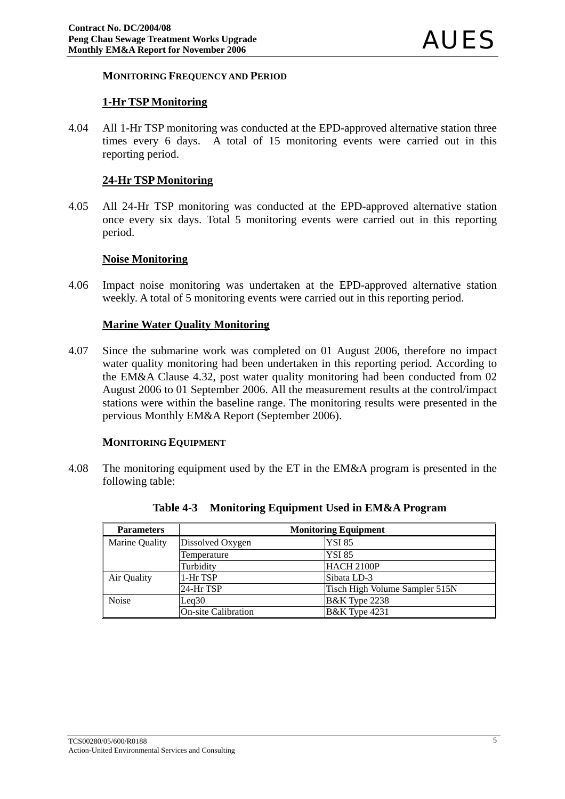#### **MONITORING FREQUENCY AND PERIOD**

#### **1-Hr TSP Monitoring**

4.04 All 1-Hr TSP monitoring was conducted at the EPD-approved alternative station three times every 6 days. A total of 15 monitoring events were carried out in this reporting period.

#### **24-Hr TSP Monitoring**

4.05 All 24-Hr TSP monitoring was conducted at the EPD-approved alternative station once every six days. Total 5 monitoring events were carried out in this reporting period.

#### **Noise Monitoring**

4.06 Impact noise monitoring was undertaken at the EPD-approved alternative station weekly. A total of 5 monitoring events were carried out in this reporting period.

#### **Marine Water Quality Monitoring**

4.07 Since the submarine work was completed on 01 August 2006, therefore no impact water quality monitoring had been undertaken in this reporting period. According to the EM&A Clause 4.32, post water quality monitoring had been conducted from 02 August 2006 to 01 September 2006. All the measurement results at the control/impact stations were within the baseline range. The monitoring results were presented in the pervious Monthly EM&A Report (September 2006).

#### **MONITORING EQUIPMENT**

4.08 The monitoring equipment used by the ET in the EM&A program is presented in the following table:

| <b>Parameters</b> | <b>Monitoring Equipment</b> |                                |  |  |  |
|-------------------|-----------------------------|--------------------------------|--|--|--|
| Marine Quality    | Dissolved Oxygen            | <b>YSI 85</b>                  |  |  |  |
|                   | Temperature                 | <b>YSI 85</b>                  |  |  |  |
|                   | Turbidity                   | HACH 2100P                     |  |  |  |
| Air Quality       | 1-Hr TSP                    | Sibata LD-3                    |  |  |  |
|                   | 24-Hr TSP                   | Tisch High Volume Sampler 515N |  |  |  |
| <b>Noise</b>      | Leq30                       | <b>B&amp;K</b> Type 2238       |  |  |  |
|                   | <b>On-site Calibration</b>  | <b>B&amp;K</b> Type 4231       |  |  |  |

**Table 4-3 Monitoring Equipment Used in EM&A Program**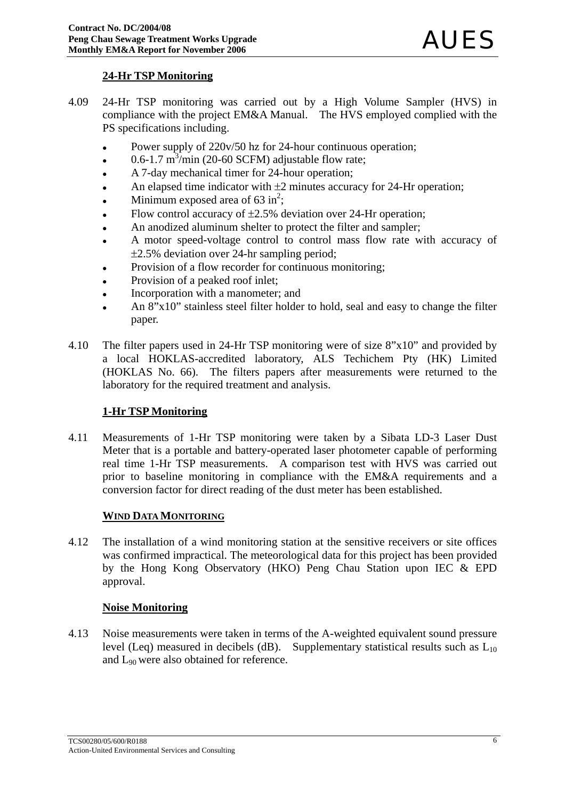#### **24-Hr TSP Monitoring**

- 4.09 24-Hr TSP monitoring was carried out by a High Volume Sampler (HVS) in compliance with the project EM&A Manual. The HVS employed complied with the PS specifications including.
	- Power supply of 220v/50 hz for 24-hour continuous operation;
	- $\cdot$  0.6-1.7 m<sup>3</sup>/min (20-60 SCFM) adjustable flow rate;
	- A 7-day mechanical timer for 24-hour operation;
	- An elapsed time indicator with  $\pm 2$  minutes accuracy for 24-Hr operation;
	- Minimum exposed area of  $63 \text{ in}^2$ ;
	- Flow control accuracy of  $\pm 2.5\%$  deviation over 24-Hr operation;
	- An anodized aluminum shelter to protect the filter and sampler;
	- A motor speed-voltage control to control mass flow rate with accuracy of ±2.5% deviation over 24-hr sampling period;
	- Provision of a flow recorder for continuous monitoring;
	- Provision of a peaked roof inlet;
	- Incorporation with a manometer; and
	- An 8"x10" stainless steel filter holder to hold, seal and easy to change the filter paper.
- 4.10 The filter papers used in 24-Hr TSP monitoring were of size 8"x10" and provided by a local HOKLAS-accredited laboratory, ALS Techichem Pty (HK) Limited (HOKLAS No. 66). The filters papers after measurements were returned to the laboratory for the required treatment and analysis.

#### **1-Hr TSP Monitoring**

4.11 Measurements of 1-Hr TSP monitoring were taken by a Sibata LD-3 Laser Dust Meter that is a portable and battery-operated laser photometer capable of performing real time 1-Hr TSP measurements. A comparison test with HVS was carried out prior to baseline monitoring in compliance with the EM&A requirements and a conversion factor for direct reading of the dust meter has been established.

#### **WIND DATA MONITORING**

4.12 The installation of a wind monitoring station at the sensitive receivers or site offices was confirmed impractical. The meteorological data for this project has been provided by the Hong Kong Observatory (HKO) Peng Chau Station upon IEC & EPD approval.

#### **Noise Monitoring**

4.13 Noise measurements were taken in terms of the A-weighted equivalent sound pressure level (Leq) measured in decibels (dB). Supplementary statistical results such as  $L_{10}$ and L90 were also obtained for reference.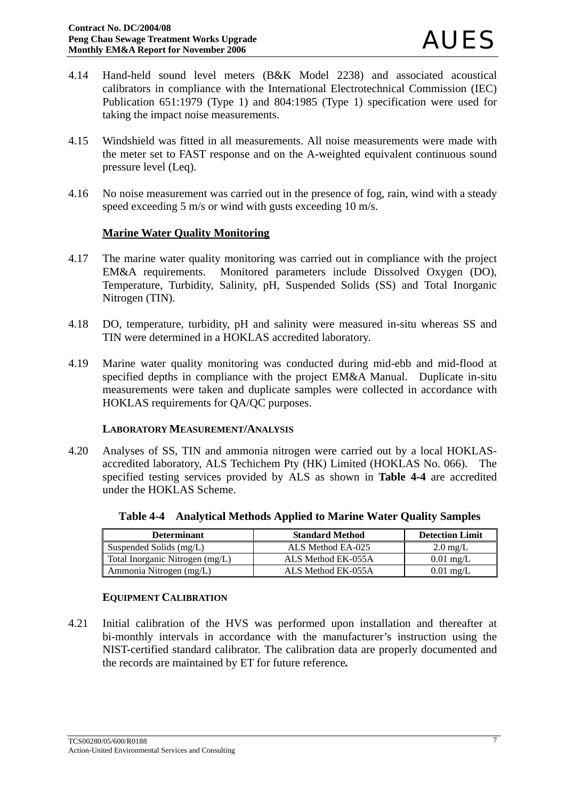- 4.14 Hand-held sound level meters (B&K Model 2238) and associated acoustical calibrators in compliance with the International Electrotechnical Commission (IEC) Publication 651:1979 (Type 1) and 804:1985 (Type 1) specification were used for taking the impact noise measurements.
- 4.15 Windshield was fitted in all measurements. All noise measurements were made with the meter set to FAST response and on the A-weighted equivalent continuous sound pressure level (Leq).
- 4.16 No noise measurement was carried out in the presence of fog, rain, wind with a steady speed exceeding 5 m/s or wind with gusts exceeding 10 m/s.

#### **Marine Water Quality Monitoring**

- 4.17 The marine water quality monitoring was carried out in compliance with the project EM&A requirements. Monitored parameters include Dissolved Oxygen (DO), Temperature, Turbidity, Salinity, pH, Suspended Solids (SS) and Total Inorganic Nitrogen (TIN).
- 4.18 DO, temperature, turbidity, pH and salinity were measured in-situ whereas SS and TIN were determined in a HOKLAS accredited laboratory.
- 4.19 Marine water quality monitoring was conducted during mid-ebb and mid-flood at specified depths in compliance with the project EM&A Manual. Duplicate in-situ measurements were taken and duplicate samples were collected in accordance with HOKLAS requirements for QA/QC purposes.

#### **LABORATORY MEASUREMENT/ANALYSIS**

4.20 Analyses of SS, TIN and ammonia nitrogen were carried out by a local HOKLASaccredited laboratory, ALS Techichem Pty (HK) Limited (HOKLAS No. 066). The specified testing services provided by ALS as shown in **Table 4-4** are accredited under the HOKLAS Scheme.

| <b>Determinant</b>              | <b>Standard Method</b> | <b>Detection Limit</b> |
|---------------------------------|------------------------|------------------------|
| Suspended Solids (mg/L)         | ALS Method EA-025      | $2.0 \text{ mg/L}$     |
| Total Inorganic Nitrogen (mg/L) | ALS Method EK-055A     | $0.01 \text{ mg/L}$    |
| Ammonia Nitrogen (mg/L)         | ALS Method EK-055A     | $0.01$ mg/L            |

**Table 4-4 Analytical Methods Applied to Marine Water Quality Samples**

#### **EQUIPMENT CALIBRATION**

4.21 Initial calibration of the HVS was performed upon installation and thereafter at bi-monthly intervals in accordance with the manufacturer's instruction using the NIST-certified standard calibrator. The calibration data are properly documented and the records are maintained by ET for future reference*.*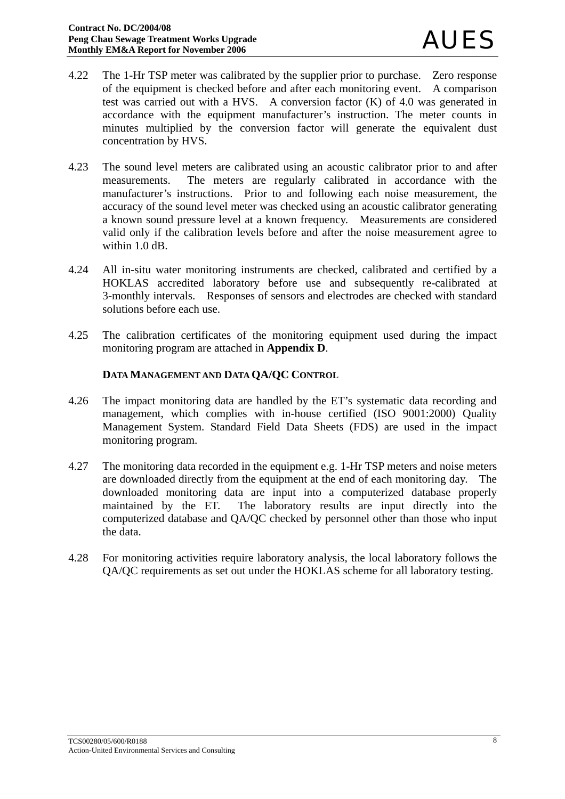- 4.22 The 1-Hr TSP meter was calibrated by the supplier prior to purchase. Zero response of the equipment is checked before and after each monitoring event. A comparison test was carried out with a HVS. A conversion factor (K) of 4.0 was generated in accordance with the equipment manufacturer's instruction. The meter counts in minutes multiplied by the conversion factor will generate the equivalent dust concentration by HVS.
- 4.23 The sound level meters are calibrated using an acoustic calibrator prior to and after measurements. The meters are regularly calibrated in accordance with the manufacturer's instructions. Prior to and following each noise measurement, the accuracy of the sound level meter was checked using an acoustic calibrator generating a known sound pressure level at a known frequency. Measurements are considered valid only if the calibration levels before and after the noise measurement agree to within 1.0 dB.
- 4.24 All in-situ water monitoring instruments are checked, calibrated and certified by a HOKLAS accredited laboratory before use and subsequently re-calibrated at 3-monthly intervals. Responses of sensors and electrodes are checked with standard solutions before each use.
- 4.25 The calibration certificates of the monitoring equipment used during the impact monitoring program are attached in **Appendix D**.

#### **DATA MANAGEMENT AND DATA QA/QC CONTROL**

- 4.26 The impact monitoring data are handled by the ET's systematic data recording and management, which complies with in-house certified (ISO 9001:2000) Quality Management System. Standard Field Data Sheets (FDS) are used in the impact monitoring program.
- 4.27 The monitoring data recorded in the equipment e.g. 1-Hr TSP meters and noise meters are downloaded directly from the equipment at the end of each monitoring day. The downloaded monitoring data are input into a computerized database properly maintained by the ET. The laboratory results are input directly into the computerized database and QA/QC checked by personnel other than those who input the data.
- 4.28 For monitoring activities require laboratory analysis, the local laboratory follows the QA/QC requirements as set out under the HOKLAS scheme for all laboratory testing.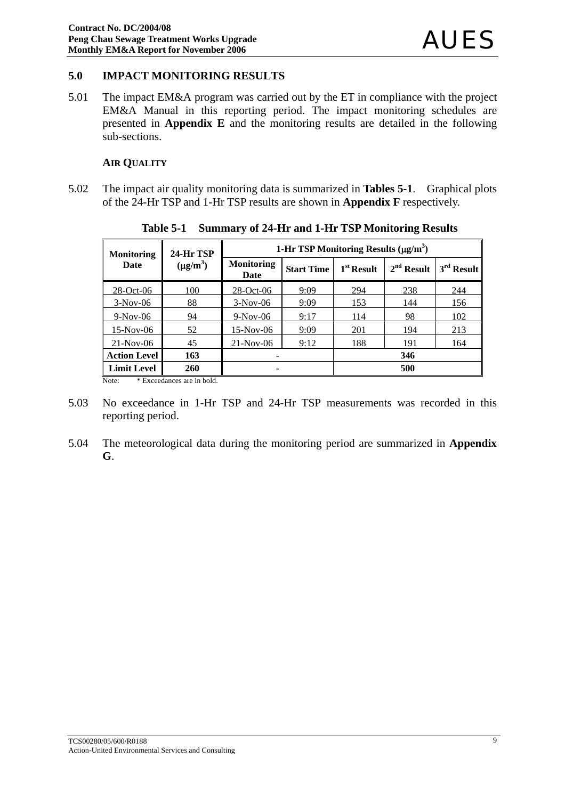#### **5.0 IMPACT MONITORING RESULTS**

5.01 The impact EM&A program was carried out by the ET in compliance with the project EM&A Manual in this reporting period. The impact monitoring schedules are presented in **Appendix E** and the monitoring results are detailed in the following sub-sections.

#### **AIR QUALITY**

5.02 The impact air quality monitoring data is summarized in **Tables 5-1**. Graphical plots of the 24-Hr TSP and 1-Hr TSP results are shown in **Appendix F** respectively.

| <b>Monitoring</b>   | 24-Hr TSP     | 1-Hr TSP Monitoring Results $(\mu g/m^3)$ |                   |              |              |              |  |
|---------------------|---------------|-------------------------------------------|-------------------|--------------|--------------|--------------|--|
| Date                | $(\mu g/m^3)$ | <b>Monitoring</b><br>Date                 | <b>Start Time</b> | $1st$ Result | $2nd$ Result | $3rd$ Result |  |
| 28-Oct-06           | 001           | $28 - Oct - 06$                           | 9:09              | 294          | 238          | 244          |  |
| $3-Nov-06$          | 88            | $3-Nov-06$                                | 9:09              | 153          | 144          | 156          |  |
| $9-Nov-06$          | 94            | $9-Nov-06$                                | 9:17              | 114          | 98           | 102          |  |
| $15-Nov-06$         | 52            | 15-Nov-06                                 | 9:09              | 201          | 194          | 213          |  |
| $21-Nov-06$         | 45            | $21-Nov-06$                               | 9:12              | 188          | 191          | 164          |  |
| <b>Action Level</b> | 163           | ۰                                         |                   |              | 346          |              |  |
| <b>Limit Level</b>  | <b>260</b>    | ۰                                         |                   |              | 500          |              |  |

**Table 5-1 Summary of 24-Hr and 1-Hr TSP Monitoring Results** 

Note: \* Exceedances are in bold.

- 5.03 No exceedance in 1-Hr TSP and 24-Hr TSP measurements was recorded in this reporting period.
- 5.04 The meteorological data during the monitoring period are summarized in **Appendix G**.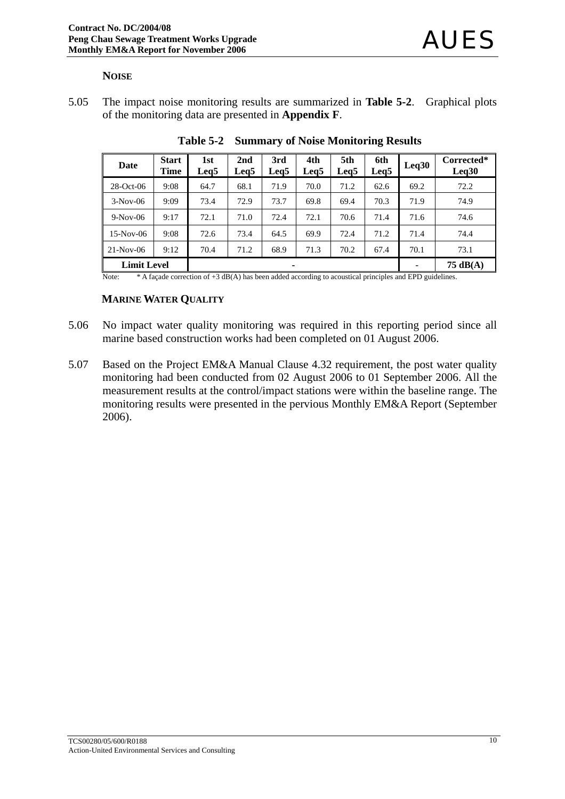#### **NOISE**

5.05 The impact noise monitoring results are summarized in **Table 5-2**. Graphical plots of the monitoring data are presented in **Appendix F**.

| Date                    | <b>Start</b><br>Time | 1st<br>Leg5 | 2nd<br>Leg5 | 3rd<br>Leg <sub>5</sub> | 4th<br>Leg5 | 5th<br>Leg5 | 6th<br>Leg <sub>5</sub> | Leq30 | Corrected*<br>Leq30 |
|-------------------------|----------------------|-------------|-------------|-------------------------|-------------|-------------|-------------------------|-------|---------------------|
| $28$ -Oct-06            | 9:08                 | 64.7        | 68.1        | 71.9                    | 70.0        | 71.2        | 62.6                    | 69.2  | 72.2                |
| $3-Nov-06$              | 9:09                 | 73.4        | 72.9        | 73.7                    | 69.8        | 69.4        | 70.3                    | 71.9  | 74.9                |
| $9-Nov-06$              | 9:17                 | 72.1        | 71.0        | 72.4                    | 72.1        | 70.6        | 71.4                    | 71.6  | 74.6                |
| $15-Nov-06$             | 9:08                 | 72.6        | 73.4        | 64.5                    | 69.9        | 72.4        | 71.2                    | 71.4  | 74.4                |
| $21-Nov-06$             | 9:12                 | 70.4        | 71.2        | 68.9                    | 71.3        | 70.2        | 67.4                    | 70.1  | 73.1                |
| <b>Limit Level</b><br>۰ |                      |             |             |                         |             | 75 $dB(A)$  |                         |       |                     |

**Table 5-2 Summary of Noise Monitoring Results** 

Note: \* A façade correction of +3 dB(A) has been added according to acoustical principles and EPD guidelines.

#### **MARINE WATER QUALITY**

- 5.06 No impact water quality monitoring was required in this reporting period since all marine based construction works had been completed on 01 August 2006.
- 5.07 Based on the Project EM&A Manual Clause 4.32 requirement, the post water quality monitoring had been conducted from 02 August 2006 to 01 September 2006. All the measurement results at the control/impact stations were within the baseline range. The monitoring results were presented in the pervious Monthly EM&A Report (September 2006).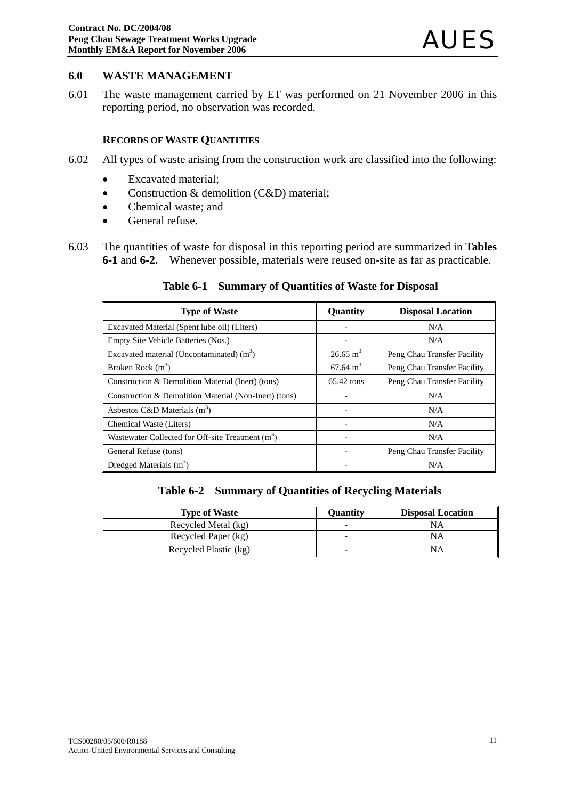#### **6.0 WASTE MANAGEMENT**

6.01 The waste management carried by ET was performed on 21 November 2006 in this reporting period, no observation was recorded.

#### **RECORDS OF WASTE QUANTITIES**

- 6.02 All types of waste arising from the construction work are classified into the following:
	- Excavated material;
	- Construction & demolition (C&D) material;
	- Chemical waste: and
	- General refuse.
- 6.03 The quantities of waste for disposal in this reporting period are summarized in **Tables 6-1** and **6-2.**Whenever possible, materials were reused on-site as far as practicable.

#### **Table 6-1 Summary of Quantities of Waste for Disposal**

| <b>Type of Waste</b>                                          | Quantity            | <b>Disposal Location</b>    |
|---------------------------------------------------------------|---------------------|-----------------------------|
| Excavated Material (Spent lube oil) (Liters)                  |                     | N/A                         |
| Empty Site Vehicle Batteries (Nos.)                           |                     | N/A                         |
| Excavated material (Uncontaminated) $(m3)$                    | $26.65 \text{ m}^3$ | Peng Chau Transfer Facility |
| Broken Rock $(m^3)$                                           | $67.64 \text{ m}^3$ | Peng Chau Transfer Facility |
| Construction & Demolition Material (Inert) (tons)             | 65.42 tons          | Peng Chau Transfer Facility |
| Construction & Demolition Material (Non-Inert) (tons)         |                     | N/A                         |
| Asbestos C&D Materials $(m^3)$                                |                     | N/A                         |
| Chemical Waste (Liters)                                       |                     | N/A                         |
| Wastewater Collected for Off-site Treatment (m <sup>3</sup> ) |                     | N/A                         |
| General Refuse (tons)                                         |                     | Peng Chau Transfer Facility |
| Dredged Materials $(m^3)$                                     |                     | N/A                         |

**Table 6-2 Summary of Quantities of Recycling Materials**

| <b>Type of Waste</b>  | Ouantity | <b>Disposal Location</b> |
|-----------------------|----------|--------------------------|
| Recycled Metal (kg)   | -        | NA                       |
| Recycled Paper (kg)   | -        | NΑ                       |
| Recycled Plastic (kg) |          | NΑ                       |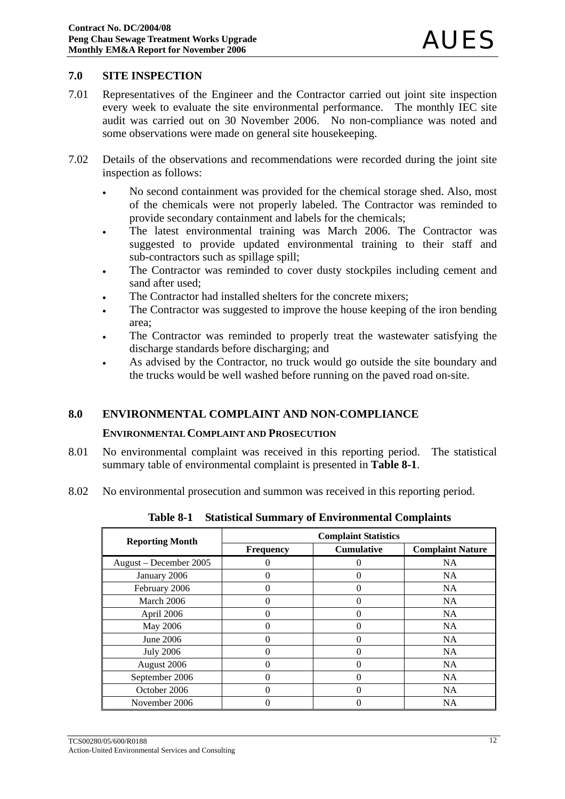#### **7.0 SITE INSPECTION**

- 7.01 Representatives of the Engineer and the Contractor carried out joint site inspection every week to evaluate the site environmental performance. The monthly IEC site audit was carried out on 30 November 2006. No non-compliance was noted and some observations were made on general site housekeeping.
- 7.02 Details of the observations and recommendations were recorded during the joint site inspection as follows:
	- No second containment was provided for the chemical storage shed. Also, most of the chemicals were not properly labeled. The Contractor was reminded to provide secondary containment and labels for the chemicals;
	- The latest environmental training was March 2006. The Contractor was suggested to provide updated environmental training to their staff and sub-contractors such as spillage spill;
	- The Contractor was reminded to cover dusty stockpiles including cement and sand after used;
	- The Contractor had installed shelters for the concrete mixers;
	- The Contractor was suggested to improve the house keeping of the iron bending area;
	- The Contractor was reminded to properly treat the wastewater satisfying the discharge standards before discharging; and
	- As advised by the Contractor, no truck would go outside the site boundary and the trucks would be well washed before running on the paved road on-site.

#### **8.0 ENVIRONMENTAL COMPLAINT AND NON-COMPLIANCE**

#### **ENVIRONMENTAL COMPLAINT AND PROSECUTION**

- 8.01 No environmental complaint was received in this reporting period. The statistical summary table of environmental complaint is presented in **Table 8-1**.
- 8.02 No environmental prosecution and summon was received in this reporting period.

| <b>Reporting Month</b> | <b>Complaint Statistics</b> |                   |                         |  |  |  |
|------------------------|-----------------------------|-------------------|-------------------------|--|--|--|
|                        | <b>Frequency</b>            | <b>Cumulative</b> | <b>Complaint Nature</b> |  |  |  |
| August – December 2005 |                             | 0                 | <b>NA</b>               |  |  |  |
| January 2006           |                             |                   | <b>NA</b>               |  |  |  |
| February 2006          | 0                           | $\Omega$          | <b>NA</b>               |  |  |  |
| March 2006             |                             | 0                 | <b>NA</b>               |  |  |  |
| April 2006             | 0                           | 0                 | <b>NA</b>               |  |  |  |
| May 2006               |                             | 0                 | <b>NA</b>               |  |  |  |
| June 2006              |                             | 0                 | <b>NA</b>               |  |  |  |
| <b>July 2006</b>       |                             | 0                 | <b>NA</b>               |  |  |  |
| August 2006            |                             | 0                 | <b>NA</b>               |  |  |  |
| September 2006         |                             | 0                 | <b>NA</b>               |  |  |  |
| October 2006           |                             | $\Omega$          | <b>NA</b>               |  |  |  |
| November 2006          |                             | 0                 | <b>NA</b>               |  |  |  |

**Table 8-1 Statistical Summary of Environmental Complaints**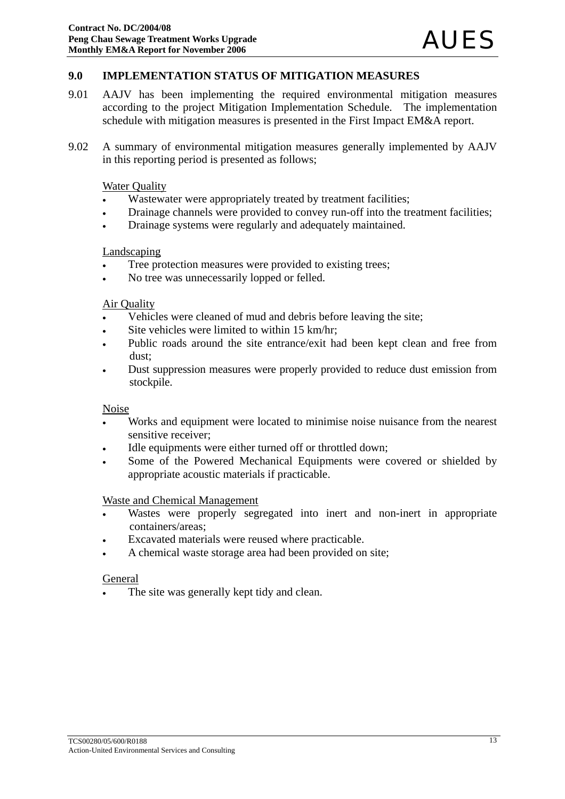#### **9.0 IMPLEMENTATION STATUS OF MITIGATION MEASURES**

- 9.01 AAJV has been implementing the required environmental mitigation measures according to the project Mitigation Implementation Schedule. The implementation schedule with mitigation measures is presented in the First Impact EM&A report.
- 9.02 A summary of environmental mitigation measures generally implemented by AAJV in this reporting period is presented as follows;

#### Water Quality

- Wastewater were appropriately treated by treatment facilities;
- Drainage channels were provided to convey run-off into the treatment facilities;
- Drainage systems were regularly and adequately maintained.

#### Landscaping

- Tree protection measures were provided to existing trees;
- No tree was unnecessarily lopped or felled.

#### Air Quality

- Vehicles were cleaned of mud and debris before leaving the site;
- Site vehicles were limited to within 15 km/hr;
- Public roads around the site entrance/exit had been kept clean and free from dust;
- Dust suppression measures were properly provided to reduce dust emission from stockpile.

#### **Noise**

- Works and equipment were located to minimise noise nuisance from the nearest sensitive receiver;
- Idle equipments were either turned off or throttled down;
- Some of the Powered Mechanical Equipments were covered or shielded by appropriate acoustic materials if practicable.

#### Waste and Chemical Management

- Wastes were properly segregated into inert and non-inert in appropriate containers/areas;
- Excavated materials were reused where practicable.
- A chemical waste storage area had been provided on site;

#### General

The site was generally kept tidy and clean.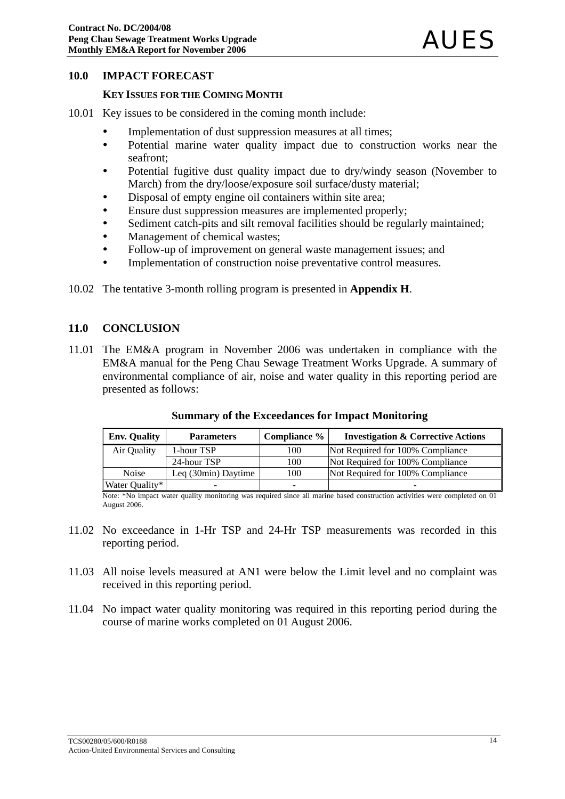#### **10.0 IMPACT FORECAST**

#### **KEY ISSUES FOR THE COMING MONTH**

- 10.01 Key issues to be considered in the coming month include:
	- Implementation of dust suppression measures at all times;
	- Potential marine water quality impact due to construction works near the seafront;
	- Potential fugitive dust quality impact due to dry/windy season (November to March) from the dry/loose/exposure soil surface/dusty material;
	- Disposal of empty engine oil containers within site area;
	- Ensure dust suppression measures are implemented properly;
	- Sediment catch-pits and silt removal facilities should be regularly maintained;
	- Management of chemical wastes:
	- Follow-up of improvement on general waste management issues; and
	- Implementation of construction noise preventative control measures.
- 10.02 The tentative 3-month rolling program is presented in **Appendix H**.

#### **11.0 CONCLUSION**

11.01 The EM&A program in November 2006 was undertaken in compliance with the EM&A manual for the Peng Chau Sewage Treatment Works Upgrade. A summary of environmental compliance of air, noise and water quality in this reporting period are presented as follows:

| <b>Env. Quality</b> | <b>Parameters</b>   | Compliance % | <b>Investigation &amp; Corrective Actions</b> |
|---------------------|---------------------|--------------|-----------------------------------------------|
| Air Quality         | 1-hour TSP          | 100          | Not Required for 100% Compliance              |
|                     | 24-hour TSP         | 100          | Not Required for 100% Compliance              |
| <b>Noise</b>        | Leg (30min) Daytime | 100          | Not Required for 100% Compliance              |
| Water Quality*      | -                   |              |                                               |

#### **Summary of the Exceedances for Impact Monitoring**

Note: \*No impact water quality monitoring was required since all marine based construction activities were completed on 01 August 2006.

- 11.02 No exceedance in 1-Hr TSP and 24-Hr TSP measurements was recorded in this reporting period.
- 11.03 All noise levels measured at AN1 were below the Limit level and no complaint was received in this reporting period.
- 11.04 No impact water quality monitoring was required in this reporting period during the course of marine works completed on 01 August 2006.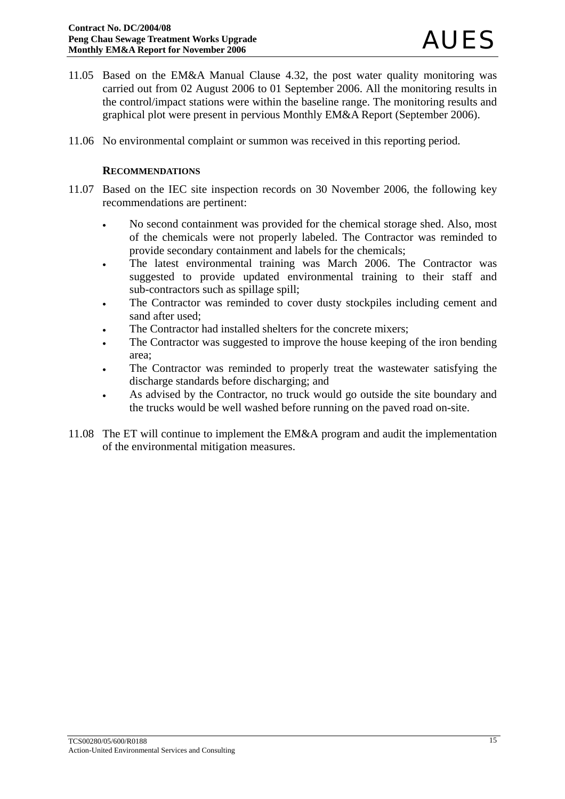- 11.05 Based on the EM&A Manual Clause 4.32, the post water quality monitoring was carried out from 02 August 2006 to 01 September 2006. All the monitoring results in the control/impact stations were within the baseline range. The monitoring results and graphical plot were present in pervious Monthly EM&A Report (September 2006).
- 11.06 No environmental complaint or summon was received in this reporting period.

#### **RECOMMENDATIONS**

- 11.07 Based on the IEC site inspection records on 30 November 2006, the following key recommendations are pertinent:
	- No second containment was provided for the chemical storage shed. Also, most of the chemicals were not properly labeled. The Contractor was reminded to provide secondary containment and labels for the chemicals;
	- The latest environmental training was March 2006. The Contractor was suggested to provide updated environmental training to their staff and sub-contractors such as spillage spill;
	- The Contractor was reminded to cover dusty stockpiles including cement and sand after used;
	- The Contractor had installed shelters for the concrete mixers;
	- The Contractor was suggested to improve the house keeping of the iron bending area;
	- The Contractor was reminded to properly treat the wastewater satisfying the discharge standards before discharging; and
	- As advised by the Contractor, no truck would go outside the site boundary and the trucks would be well washed before running on the paved road on-site.
- 11.08 The ET will continue to implement the EM&A program and audit the implementation of the environmental mitigation measures.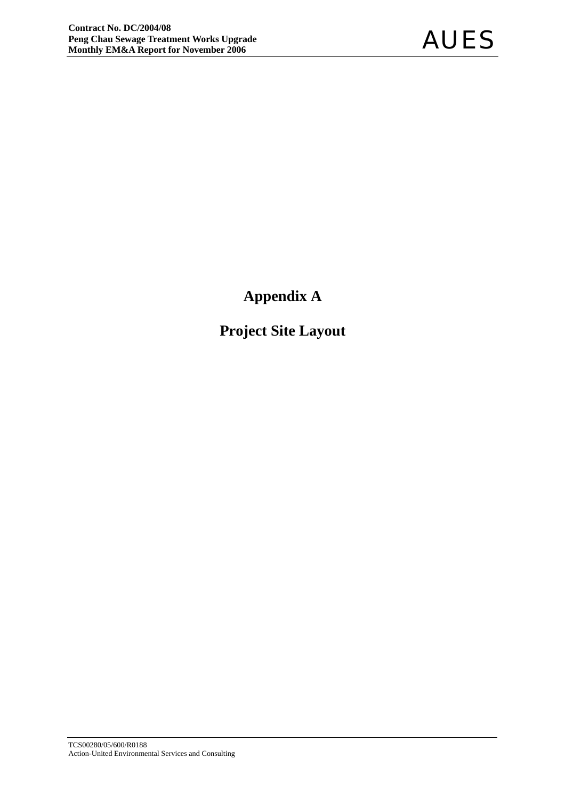**Appendix A** 

**Project Site Layout**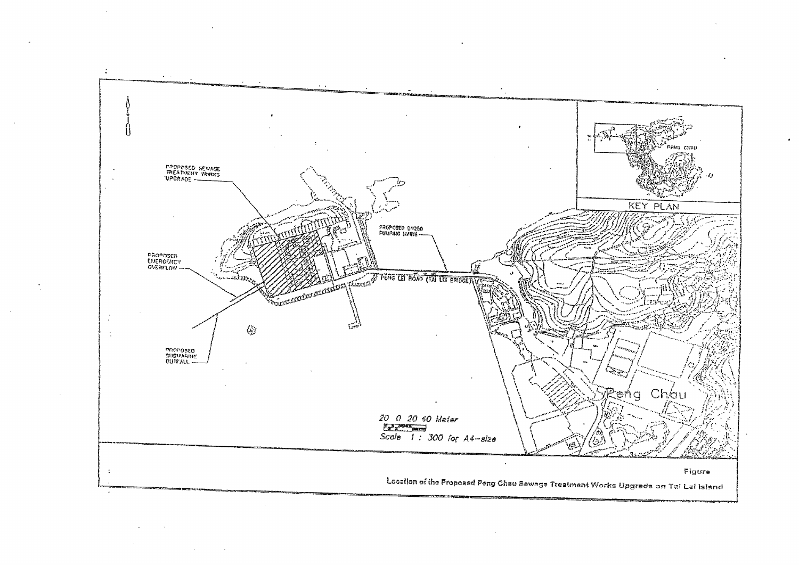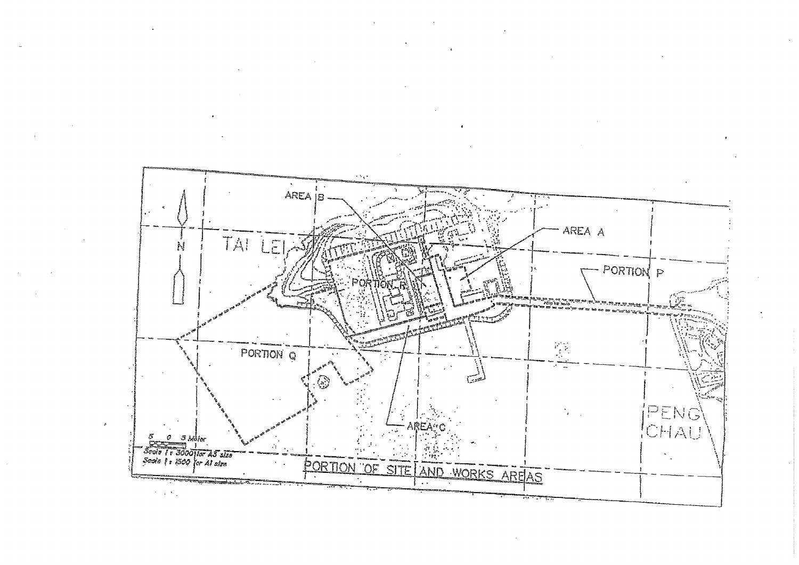

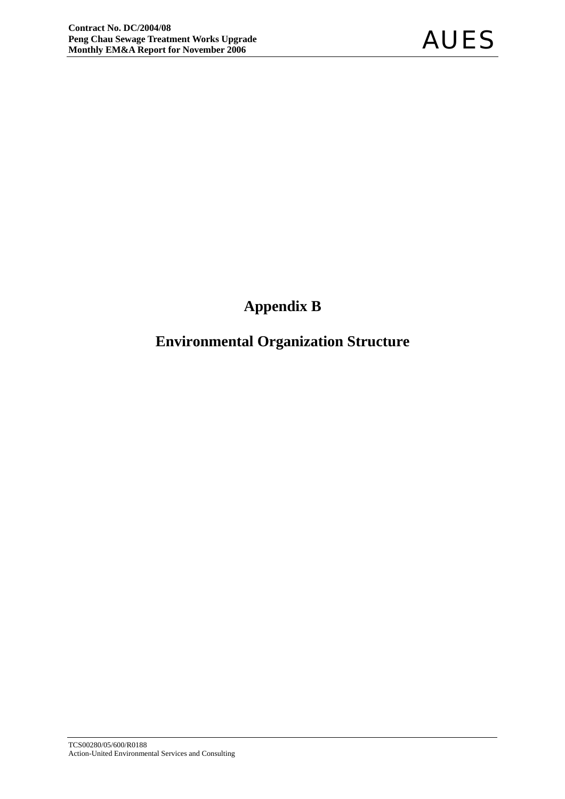## **Appendix B**

## **Environmental Organization Structure**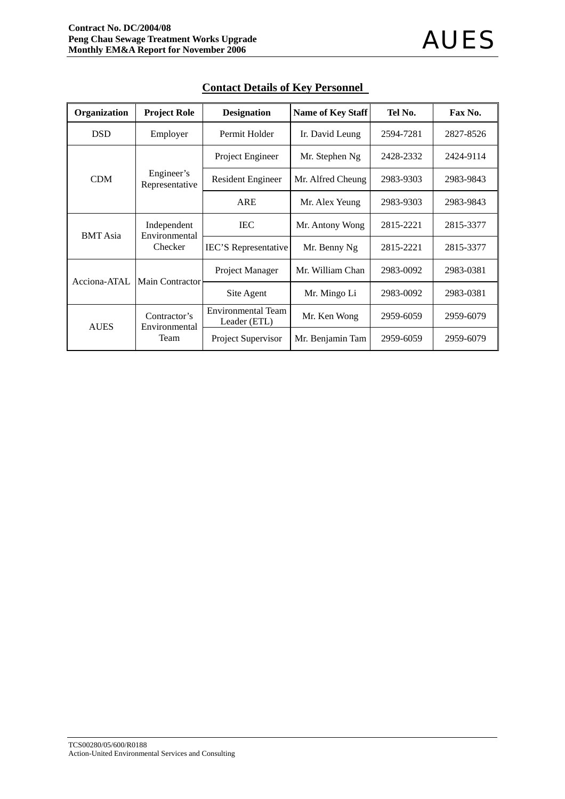| Organization    | <b>Project Role</b>           | <b>Designation</b>                        | <b>Name of Key Staff</b> | Tel No.   | Fax No.   |
|-----------------|-------------------------------|-------------------------------------------|--------------------------|-----------|-----------|
| <b>DSD</b>      | Employer                      | Permit Holder                             | Ir. David Leung          | 2594-7281 | 2827-8526 |
|                 |                               | Project Engineer                          | Mr. Stephen Ng           | 2428-2332 | 2424-9114 |
| <b>CDM</b>      | Engineer's<br>Representative  | <b>Resident Engineer</b>                  | Mr. Alfred Cheung        | 2983-9303 | 2983-9843 |
|                 |                               | <b>ARE</b>                                | Mr. Alex Yeung           | 2983-9303 | 2983-9843 |
|                 | Independent<br>Environmental  | <b>IEC</b>                                | Mr. Antony Wong          | 2815-2221 | 2815-3377 |
| <b>BMT</b> Asia | Checker                       | <b>IEC'S</b> Representative               | Mr. Benny Ng             | 2815-2221 | 2815-3377 |
| Acciona-ATAL    | <b>Main Contractor</b>        | <b>Project Manager</b>                    | Mr. William Chan         | 2983-0092 | 2983-0381 |
|                 |                               | Site Agent                                | Mr. Mingo Li             | 2983-0092 | 2983-0381 |
| <b>AUES</b>     | Contractor's<br>Environmental | <b>Environmental Team</b><br>Leader (ETL) | Mr. Ken Wong             | 2959-6059 | 2959-6079 |
|                 | Team                          | Project Supervisor                        | Mr. Benjamin Tam         | 2959-6059 | 2959-6079 |

#### **Contact Details of Key Personnel**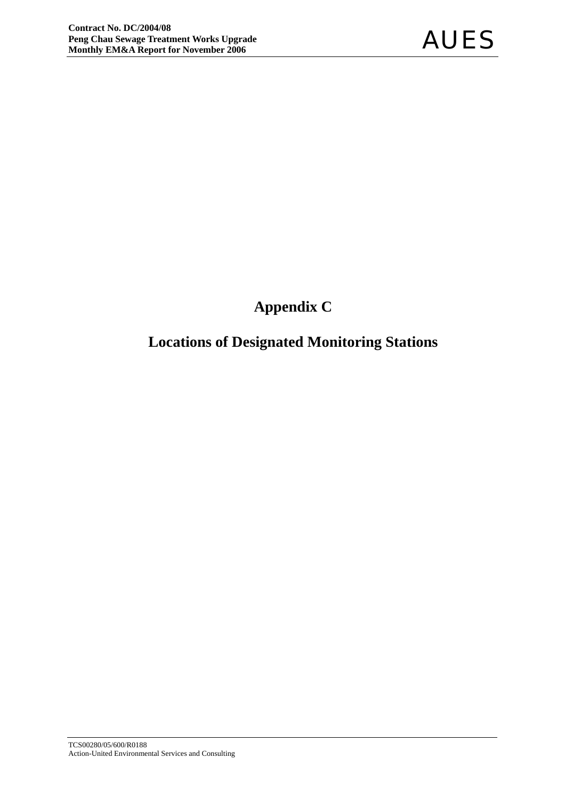## **Appendix C**

## **Locations of Designated Monitoring Stations**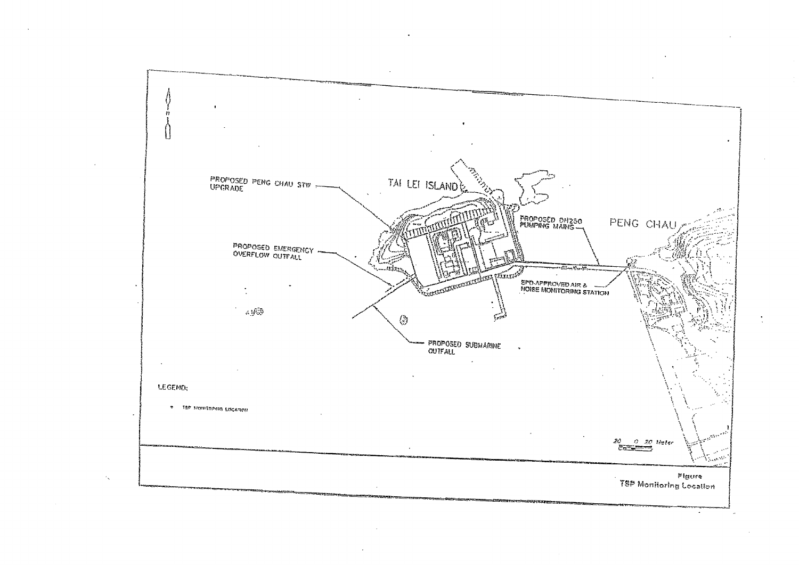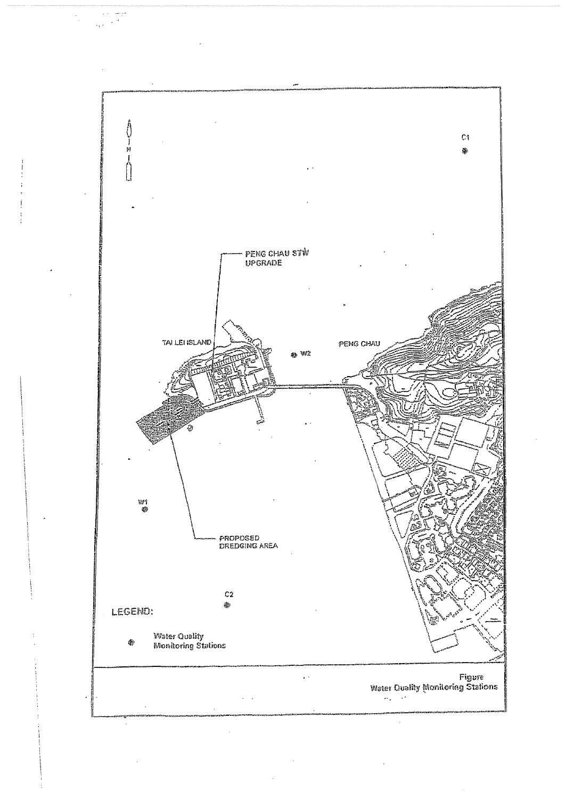

 $\mathcal{L}_\mathrm{F}$  :

 $\frac{1}{2}$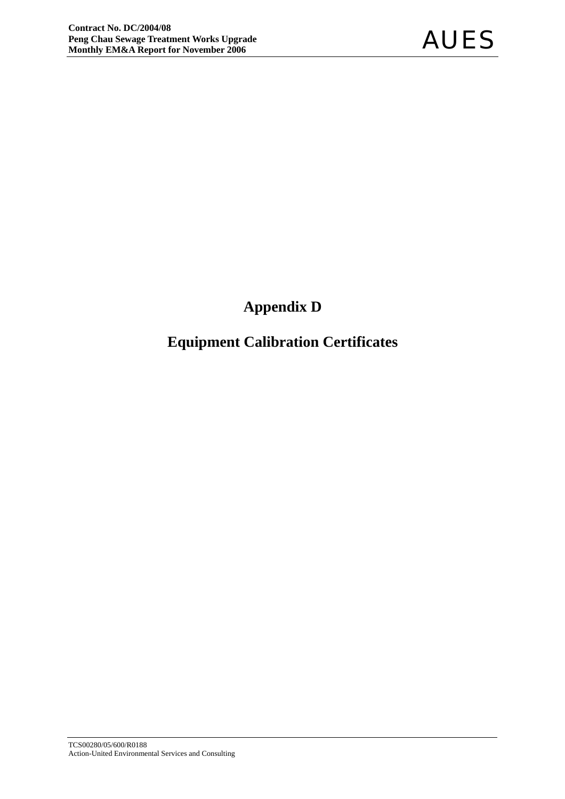## **Appendix D**

## **Equipment Calibration Certificates**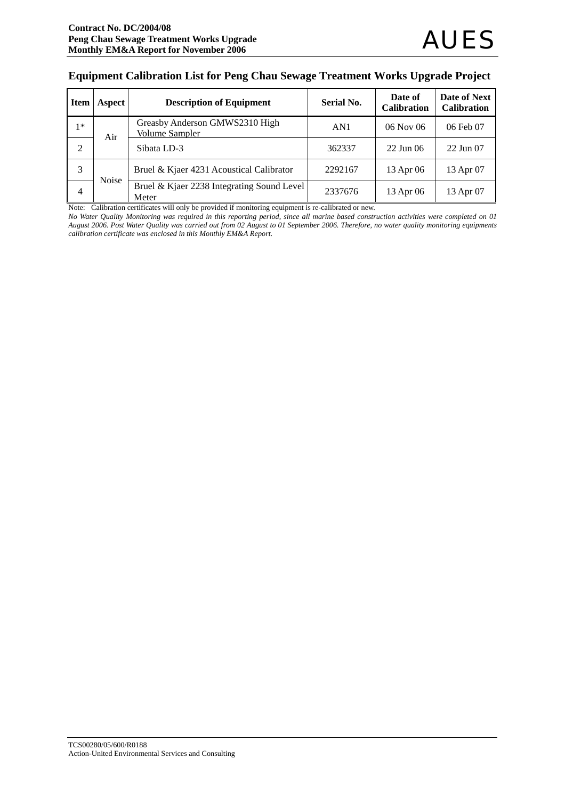#### **Equipment Calibration List for Peng Chau Sewage Treatment Works Upgrade Project**

| <b>Item</b>    | Aspect       | <b>Description of Equipment</b>                         | <b>Serial No.</b> | Date of<br><b>Calibration</b> | Date of Next<br><b>Calibration</b> |
|----------------|--------------|---------------------------------------------------------|-------------------|-------------------------------|------------------------------------|
| $1*$           | Air          | Greasby Anderson GMWS2310 High<br><b>Volume Sampler</b> | AN1               | $06$ Nov $06$                 | 06 Feb 07                          |
| $\overline{2}$ |              | Sibata LD-3                                             | 362337            | $22$ Jun 06                   | 22 Jun 07                          |
| 3              | <b>Noise</b> | Bruel & Kjaer 4231 Acoustical Calibrator                | 2292167           | 13 Apr 06                     | 13 Apr 07                          |
| 4              |              | Bruel & Kjaer 2238 Integrating Sound Level<br>Meter     | 2337676           | 13 Apr 06                     | 13 Apr 07                          |

Note: Calibration certificates will only be provided if monitoring equipment is re-calibrated or new.

*No Water Quality Monitoring was required in this reporting period, since all marine based construction activities were completed on 01 August 2006. Post Water Quality was carried out from 02 August to 01 September 2006. Therefore, no water quality monitoring equipments calibration certificate was enclosed in this Monthly EM&A Report.*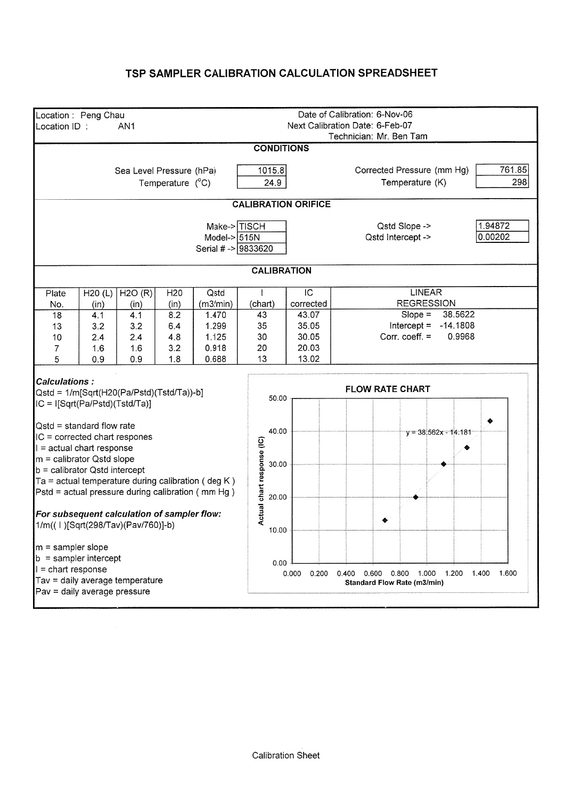#### TSP SAMPLER CALIBRATION CALCULATION SPREADSHEET

| Location: Peng Chau<br>Location ID:                                                                                                                                                                                                                                                                                                                                                                                                                                                                                                   |  | AN <sub>1</sub>          |                           |                                                                                 |                                       |                                                        | Date of Calibration: 6-Nov-06<br>Next Calibration Date: 6-Feb-07<br>Technician: Mr. Ben Tam |                                                                                     |                    |  |  |
|---------------------------------------------------------------------------------------------------------------------------------------------------------------------------------------------------------------------------------------------------------------------------------------------------------------------------------------------------------------------------------------------------------------------------------------------------------------------------------------------------------------------------------------|--|--------------------------|---------------------------|---------------------------------------------------------------------------------|---------------------------------------|--------------------------------------------------------|---------------------------------------------------------------------------------------------|-------------------------------------------------------------------------------------|--------------------|--|--|
|                                                                                                                                                                                                                                                                                                                                                                                                                                                                                                                                       |  |                          |                           |                                                                                 | <b>CONDITIONS</b>                     |                                                        |                                                                                             |                                                                                     |                    |  |  |
|                                                                                                                                                                                                                                                                                                                                                                                                                                                                                                                                       |  | Sea Level Pressure (hPa) | Temperature $(^{\circ}C)$ |                                                                                 | 1015.8<br>24.9                        |                                                        | 761.85<br>Corrected Pressure (mm Hg)<br>298                                                 |                                                                                     |                    |  |  |
|                                                                                                                                                                                                                                                                                                                                                                                                                                                                                                                                       |  |                          |                           |                                                                                 | <b>CALIBRATION ORIFICE</b>            |                                                        |                                                                                             |                                                                                     |                    |  |  |
|                                                                                                                                                                                                                                                                                                                                                                                                                                                                                                                                       |  |                          |                           | Make->TISCH<br>Model- $> 515N$<br>Serial # -> 9833620                           |                                       |                                                        |                                                                                             | Qstd Slope -><br>Qstd Intercept ->                                                  | 1.94872<br>0.00202 |  |  |
|                                                                                                                                                                                                                                                                                                                                                                                                                                                                                                                                       |  |                          |                           |                                                                                 | <b>CALIBRATION</b>                    |                                                        |                                                                                             |                                                                                     |                    |  |  |
| H2O(R)<br>H <sub>20</sub><br>Qstd<br>H20(L)<br>Plate                                                                                                                                                                                                                                                                                                                                                                                                                                                                                  |  |                          |                           |                                                                                 |                                       | IC                                                     |                                                                                             | <b>LINEAR</b>                                                                       |                    |  |  |
| (m3/min)<br>No.<br>(in)<br>(in)<br>(in)<br>18<br>4.1<br>4.1<br>8.2<br>1.470<br>3.2<br>1.299<br>3.2<br>6.4<br>13<br>4.8<br>1.125<br>10<br>2.4<br>2.4<br>1.6<br>3.2<br>0.918<br>1.6<br>7<br>5<br>1.8<br>0.688<br>0.9<br>0.9                                                                                                                                                                                                                                                                                                             |  |                          |                           |                                                                                 | (chart)<br>43<br>35<br>30<br>20<br>13 | corrected<br>43.07<br>35.05<br>30.05<br>20.03<br>13.02 |                                                                                             | <b>REGRESSION</b><br>$Slope =$<br>Intercept = $-14.1808$<br>Corr. $\text{coeff.} =$ | 38.5622<br>0.9968  |  |  |
| <b>Calculations:</b><br>Qstd = 1/m[Sqrt(H20(Pa/Pstd)(Tstd/Ta))-b]<br>IC = I[Sqrt(Pa/Pstd)(Tstd/Ta)]<br>$Qstd = standard flow rate$<br>IC = corrected chart respones<br>$\vert$ = actual chart response<br>$m =$ calibrator Qstd slope<br>$\mathbf{b}$ = calibrator Qstd intercept<br>$Ta = actual$ temperature during calibration (deg K)<br>Pstd = actual pressure during calibration (mm Hg)<br>For subsequent calculation of sampler flow:<br>1/m((1)[Sqrt(298/Tav)(Pav/760)]-b)<br>$m =$ sampler slope<br>$b =$ sampler intercept |  |                          |                           | 50.00<br>40.00<br>Actual chart response (IC)<br>30.00<br>20.00<br>10.00<br>0.00 |                                       | <b>FLOW RATE CHART</b>                                 | $y = 38.562x - 14.181$                                                                      | ٠                                                                                   |                    |  |  |
| $l =$ chart response<br>Tav = daily average temperature<br>Pav = daily average pressure                                                                                                                                                                                                                                                                                                                                                                                                                                               |  |                          |                           |                                                                                 |                                       | 0.000<br>0.200                                         |                                                                                             | 0.400  0.600  0.800  1.000  1.200<br>Standard Flow Rate (m3/min)                    | 1.400<br>1.600     |  |  |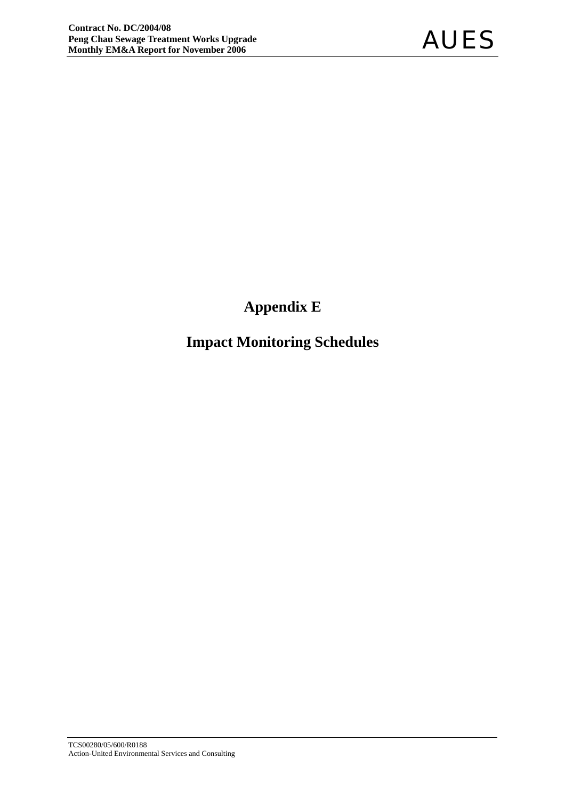## **Appendix E**

## **Impact Monitoring Schedules**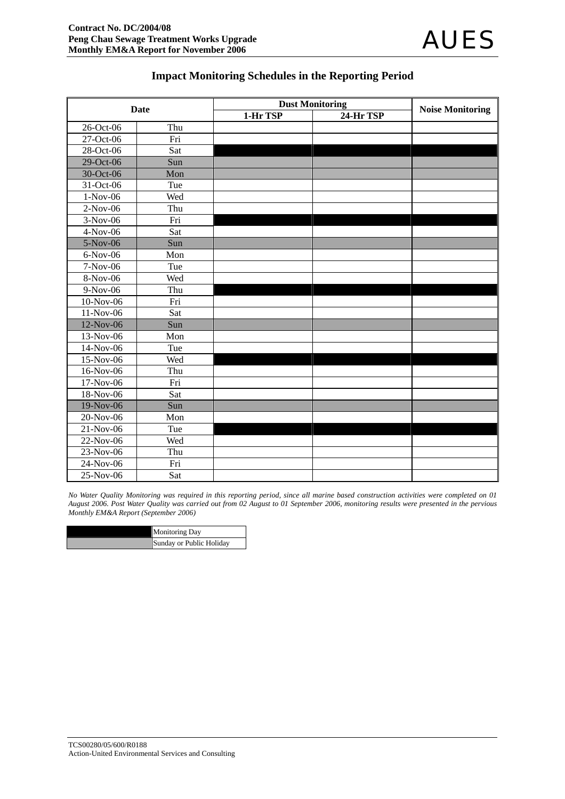#### **Impact Monitoring Schedules in the Reporting Period**

| <b>Date</b> |     | <b>Dust Monitoring</b> |           |                         |
|-------------|-----|------------------------|-----------|-------------------------|
|             |     | 1-Hr TSP               | 24-Hr TSP | <b>Noise Monitoring</b> |
| 26-Oct-06   | Thu |                        |           |                         |
| 27-Oct-06   | Fri |                        |           |                         |
| 28-Oct-06   | Sat |                        |           |                         |
| 29-Oct-06   | Sun |                        |           |                         |
| 30-Oct-06   | Mon |                        |           |                         |
| 31-Oct-06   | Tue |                        |           |                         |
| $1-Nov-06$  | Wed |                        |           |                         |
| $2-Nov-06$  | Thu |                        |           |                         |
| $3-Nov-06$  | Fri |                        |           |                         |
| 4-Nov-06    | Sat |                        |           |                         |
| 5-Nov-06    | Sun |                        |           |                         |
| 6-Nov-06    | Mon |                        |           |                         |
| 7-Nov-06    | Tue |                        |           |                         |
| 8-Nov-06    | Wed |                        |           |                         |
| 9-Nov-06    | Thu |                        |           |                         |
| 10-Nov-06   | Fri |                        |           |                         |
| 11-Nov-06   | Sat |                        |           |                         |
| 12-Nov-06   | Sun |                        |           |                         |
| 13-Nov-06   | Mon |                        |           |                         |
| 14-Nov-06   | Tue |                        |           |                         |
| 15-Nov-06   | Wed |                        |           |                         |
| 16-Nov-06   | Thu |                        |           |                         |
| 17-Nov-06   | Fri |                        |           |                         |
| 18-Nov-06   | Sat |                        |           |                         |
| 19-Nov-06   | Sun |                        |           |                         |
| 20-Nov-06   | Mon |                        |           |                         |
| 21-Nov-06   | Tue |                        |           |                         |
| 22-Nov-06   | Wed |                        |           |                         |
| $23-Nov-06$ | Thu |                        |           |                         |
| 24-Nov-06   | Fri |                        |           |                         |
| 25-Nov-06   | Sat |                        |           |                         |

*No Water Quality Monitoring was required in this reporting period, since all marine based construction activities were completed on 01 August 2006. Post Water Quality was carried out from 02 August to 01 September 2006, monitoring results were presented in the pervious Monthly EM&A Report (September 2006)* 

| <b>Monitoring Day</b>    |
|--------------------------|
| Sunday or Public Holiday |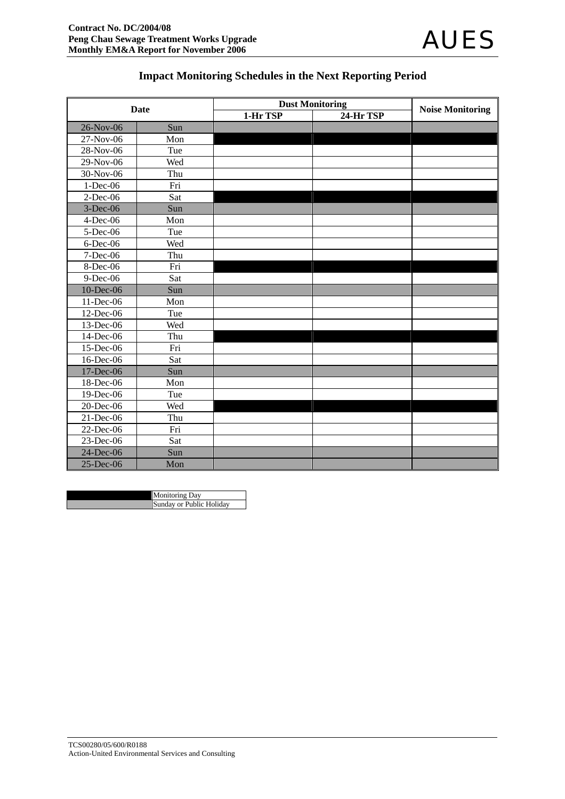

#### **Impact Monitoring Schedules in the Next Reporting Period**

| <b>Date</b> |     | <b>Dust Monitoring</b> |           |                         |
|-------------|-----|------------------------|-----------|-------------------------|
|             |     | $1-Hr$ TSP             | 24-Hr TSP | <b>Noise Monitoring</b> |
| 26-Nov-06   | Sun |                        |           |                         |
| 27-Nov-06   | Mon |                        |           |                         |
| 28-Nov-06   | Tue |                        |           |                         |
| 29-Nov-06   | Wed |                        |           |                         |
| 30-Nov-06   | Thu |                        |           |                         |
| 1-Dec-06    | Fri |                        |           |                         |
| $2$ -Dec-06 | Sat |                        |           |                         |
| 3-Dec-06    | Sun |                        |           |                         |
| 4-Dec-06    | Mon |                        |           |                         |
| 5-Dec-06    | Tue |                        |           |                         |
| $6$ -Dec-06 | Wed |                        |           |                         |
| 7-Dec-06    | Thu |                        |           |                         |
| 8-Dec-06    | Fri |                        |           |                         |
| 9-Dec-06    | Sat |                        |           |                         |
| 10-Dec-06   | Sun |                        |           |                         |
| 11-Dec-06   | Mon |                        |           |                         |
| 12-Dec-06   | Tue |                        |           |                         |
| 13-Dec-06   | Wed |                        |           |                         |
| 14-Dec-06   | Thu |                        |           |                         |
| 15-Dec-06   | Fri |                        |           |                         |
| 16-Dec-06   | Sat |                        |           |                         |
| 17-Dec-06   | Sun |                        |           |                         |
| 18-Dec-06   | Mon |                        |           |                         |
| 19-Dec-06   | Tue |                        |           |                         |
| 20-Dec-06   | Wed |                        |           |                         |
| 21-Dec-06   | Thu |                        |           |                         |
| 22-Dec-06   | Fri |                        |           |                         |
| 23-Dec-06   | Sat |                        |           |                         |
| 24-Dec-06   | Sun |                        |           |                         |
| 25-Dec-06   | Mon |                        |           |                         |

| <b>Monitoring Day</b>    |
|--------------------------|
| Sunday or Public Holiday |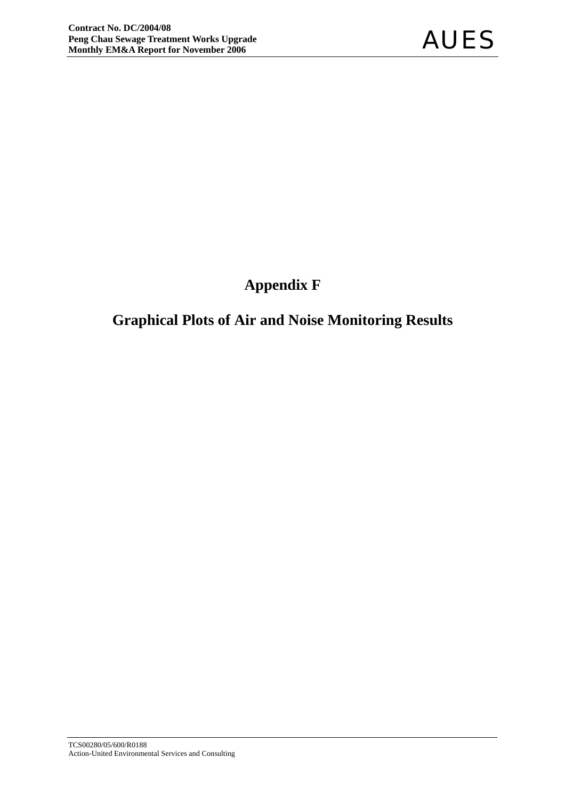## **Appendix F**

## **Graphical Plots of Air and Noise Monitoring Results**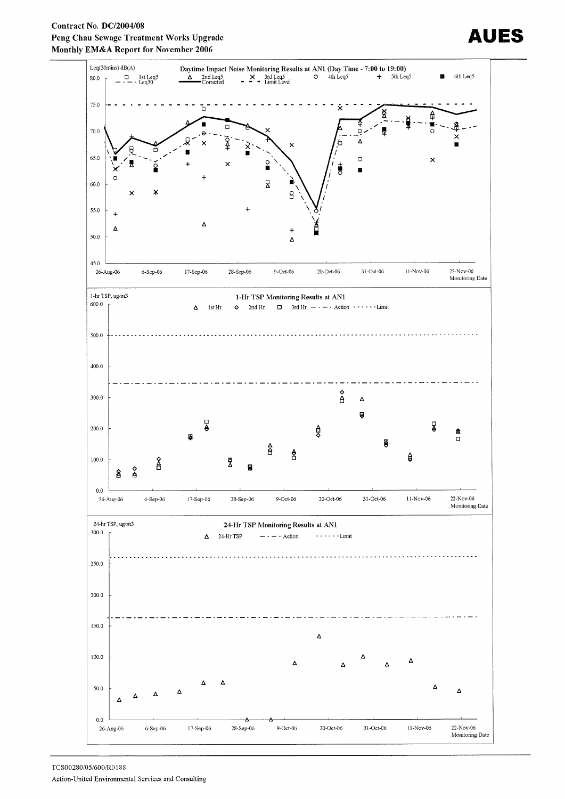



## AUES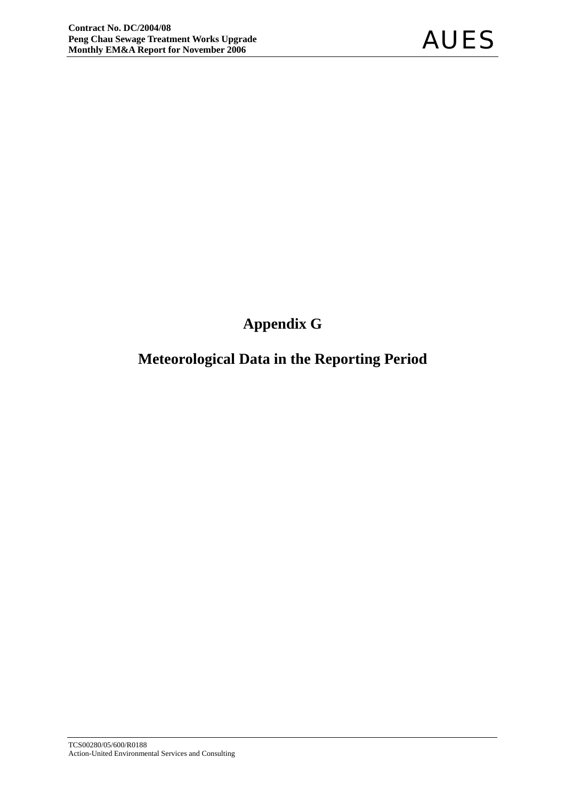## **Appendix G**

### **Meteorological Data in the Reporting Period**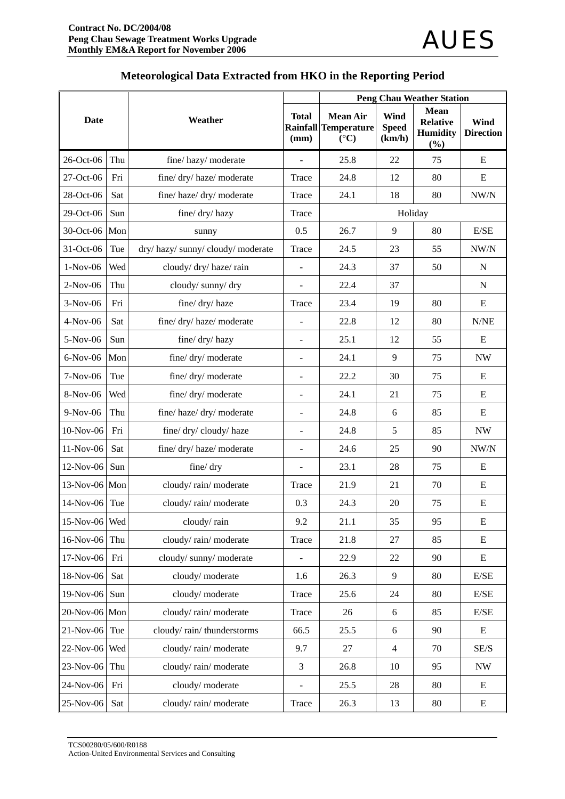|               |     |                                | <b>Peng Chau Weather Station</b> |                                                                         |                                |                                                          |                                 |  |  |  |
|---------------|-----|--------------------------------|----------------------------------|-------------------------------------------------------------------------|--------------------------------|----------------------------------------------------------|---------------------------------|--|--|--|
| Date          |     | Weather                        | <b>Total</b><br>(mm)             | <b>Mean Air</b><br><b>Rainfall Temperature</b><br>$({}^{\circ}{\rm C})$ | Wind<br><b>Speed</b><br>(km/h) | <b>Mean</b><br><b>Relative</b><br><b>Humidity</b><br>(%) | <b>Wind</b><br><b>Direction</b> |  |  |  |
| 26-Oct-06     | Thu | fine/hazy/moderate             |                                  | 25.8                                                                    | 22                             | 75                                                       | E                               |  |  |  |
| 27-Oct-06     | Fri | fine/ dry/ haze/ moderate      | Trace                            | 24.8                                                                    | 12                             | 80                                                       | ${\bf E}$                       |  |  |  |
| 28-Oct-06     | Sat | fine/haze/dry/moderate         | Trace                            | 24.1                                                                    | 18                             | 80                                                       | NW/N                            |  |  |  |
| 29-Oct-06     | Sun | fine/ dry/ hazy                | Trace                            |                                                                         | Holiday                        |                                                          |                                 |  |  |  |
| 30-Oct-06 Mon |     | sunny                          | 0.5                              | 26.7                                                                    | 9                              | 80                                                       | E/SE                            |  |  |  |
| 31-Oct-06     | Tue | dry/hazy/sunny/cloudy/moderate | Trace                            | 24.5                                                                    | 23                             | 55                                                       | NW/N                            |  |  |  |
| $1-Nov-06$    | Wed | cloudy/ dry/ haze/ rain        | $\frac{1}{2}$                    | 24.3                                                                    | 37                             | 50                                                       | $\mathbf N$                     |  |  |  |
| $2-Nov-06$    | Thu | cloudy/sunny/dry               | $\overline{a}$                   | 22.4                                                                    | 37                             |                                                          | $\mathbf N$                     |  |  |  |
| 3-Nov-06      | Fri | fine/ dry/ haze                | Trace                            | 23.4                                                                    | 19                             | 80                                                       | E                               |  |  |  |
| $4-Nov-06$    | Sat | fine/ dry/ haze/ moderate      |                                  | 22.8                                                                    | 12                             | 80                                                       | N/NE                            |  |  |  |
| 5-Nov-06      | Sun | fine/ dry/ hazy                | $\overline{\phantom{m}}$         | 25.1                                                                    | 12                             | 55                                                       | E                               |  |  |  |
| $6-Nov-06$    | Mon | fine/ dry/ moderate            | ۰                                | 24.1                                                                    | 9                              | 75                                                       | <b>NW</b>                       |  |  |  |
| $7-Nov-06$    | Tue | fine/ dry/ moderate            | $\sim$                           | 22.2                                                                    | 30                             | 75                                                       | E                               |  |  |  |
| 8-Nov-06      | Wed | fine/ dry/ moderate            | $\blacksquare$                   | 24.1                                                                    | 21                             | 75                                                       | E                               |  |  |  |
| $9-Nov-06$    | Thu | fine/haze/dry/moderate         | $\blacksquare$                   | 24.8                                                                    | 6                              | 85                                                       | Ε                               |  |  |  |
| 10-Nov-06     | Fri | fine/ dry/ cloudy/ haze        | $\overline{\phantom{0}}$         | 24.8                                                                    | 5                              | 85                                                       | <b>NW</b>                       |  |  |  |
| $11-Nov-06$   | Sat | fine/dry/haze/moderate         | $\overline{\phantom{m}}$         | 24.6                                                                    | 25                             | 90                                                       | NW/N                            |  |  |  |
| 12-Nov-06     | Sun | fine/ dry                      | $\blacksquare$                   | 23.1                                                                    | 28                             | 75                                                       | E                               |  |  |  |
| 13-Nov-06 Mon |     | cloudy/rain/moderate           | Trace                            | 21.9                                                                    | 21                             | 70                                                       | E                               |  |  |  |
| 14-Nov-06     | Tue | cloudy/rain/moderate           | 0.3                              | 24.3                                                                    | 20                             | 75                                                       | E                               |  |  |  |
| 15-Nov-06 Wed |     | cloudy/rain                    | 9.2                              | 21.1                                                                    | 35                             | 95                                                       | ${\bf E}$                       |  |  |  |
| 16-Nov-06     | Thu | cloudy/rain/moderate           | Trace                            | 21.8                                                                    | 27                             | 85                                                       | E                               |  |  |  |
| 17-Nov-06     | Fri | cloudy/sunny/moderate          |                                  | 22.9                                                                    | 22                             | 90                                                       | Ε                               |  |  |  |
| 18-Nov-06     | Sat | cloudy/moderate                | 1.6                              | 26.3                                                                    | 9                              | 80                                                       | E/SE                            |  |  |  |
| 19-Nov-06     | Sun | cloudy/moderate                | Trace                            | 25.6                                                                    | 24                             | 80                                                       | E/SE                            |  |  |  |
| 20-Nov-06 Mon |     | cloudy/rain/moderate           | Trace                            | 26                                                                      | 6                              | 85                                                       | E/SE                            |  |  |  |
| 21-Nov-06     | Tue | cloudy/rain/thunderstorms      | 66.5                             | 25.5                                                                    | 6                              | 90                                                       | Ε                               |  |  |  |
| $22$ -Nov-06  | Wed | cloudy/rain/moderate           | 9.7                              | 27                                                                      | $\overline{4}$                 | 70                                                       | SE/S                            |  |  |  |
| 23-Nov-06     | Thu | cloudy/rain/moderate           | 3                                | 26.8                                                                    | 10                             | 95                                                       | $\ensuremath{\text{NW}}$        |  |  |  |
| 24-Nov-06     | Fri | cloudy/moderate                |                                  | 25.5                                                                    | 28                             | 80                                                       | E                               |  |  |  |
| 25-Nov-06     | Sat | cloudy/rain/moderate           | Trace                            | 26.3                                                                    | 13                             | 80                                                       | E                               |  |  |  |

#### **Meteorological Data Extracted from HKO in the Reporting Period**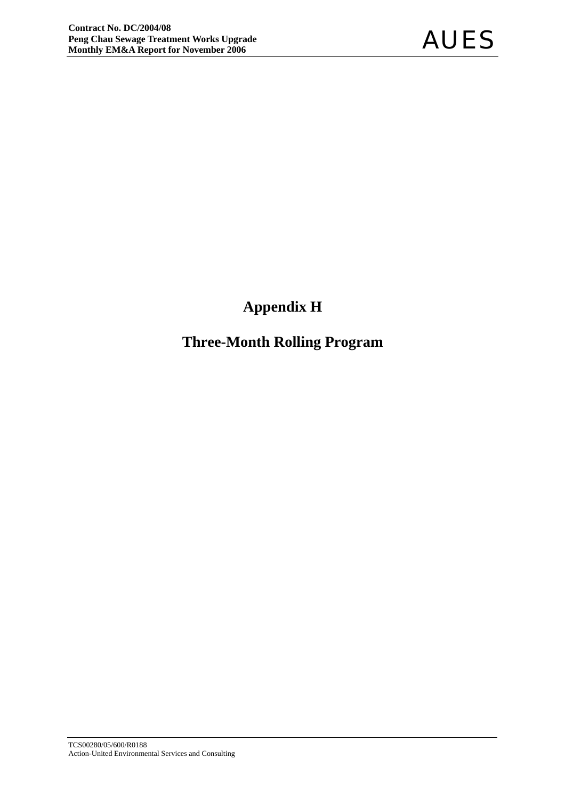## **Appendix H**

## **Three-Month Rolling Program**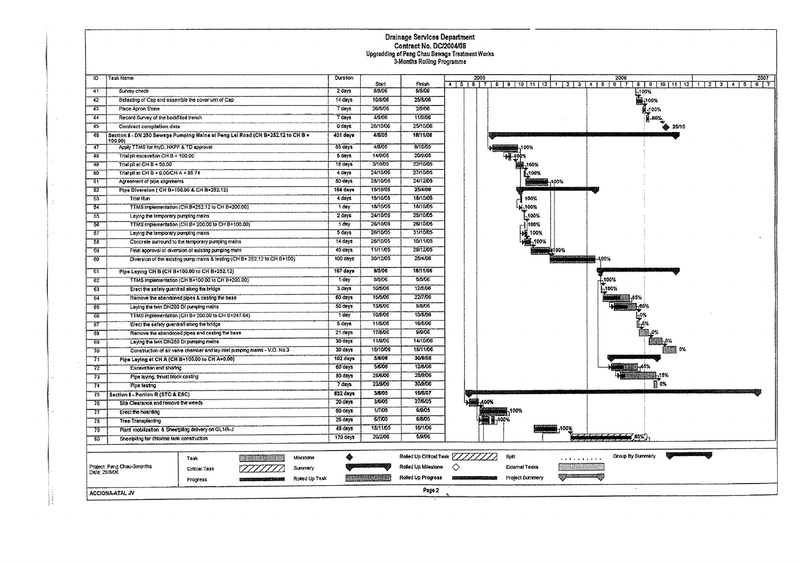# Drainage Services Department<br>Contract No. DC/2004/08<br>Upgradding of Pang Chau Sewage Treatment Works<br>3-Months Rolling Programme

| $10-$         | <b>Task Name</b>                                                                           |                                                      |                                                                           |               | <b>Ournfon</b>      |                |                                   |   | 2005              |                                    |                         | 2006<br>2007                             |
|---------------|--------------------------------------------------------------------------------------------|------------------------------------------------------|---------------------------------------------------------------------------|---------------|---------------------|----------------|-----------------------------------|---|-------------------|------------------------------------|-------------------------|------------------------------------------|
|               |                                                                                            |                                                      |                                                                           |               |                     | Start          | Firish                            |   |                   | 4 5 6 7 8 9 10 11 12 1 2 3 4 5 6 7 |                         | 8 9 10 11 12 1 2 3 4 5<br>6 <sup>7</sup> |
| 41            | Survey check                                                                               |                                                      |                                                                           |               | 2 days              | 8/8/06         | 9/8/06                            |   |                   |                                    |                         | 100%                                     |
| 42            | Batasting of Cap and assemble the cover unit of Cap                                        |                                                      |                                                                           |               | 14 days             | 10/8/06        | 25/5/06                           |   |                   |                                    |                         | <b>NA100%</b>                            |
| 43            | Place Apron Stone                                                                          |                                                      |                                                                           |               | 7 days              | 26/8/06        | 2,9.06                            |   |                   |                                    |                         | <b>M-100%</b>                            |
| 44            | Record Survey of the backfilled trench                                                     |                                                      |                                                                           |               | $7 \frac{dy}{s}$    | 4/9/06         | 11/9/06                           |   |                   |                                    |                         | 80%                                      |
| 45            | Contract completion date                                                                   |                                                      |                                                                           |               | 0 days              | 25/10/06       | 25/10/06                          |   |                   |                                    |                         | 25/10                                    |
| 46            | Section 8 - DN 250 Sewsge Pumping Mains at Peng Lai Road (CH B+252.12 to CH B +<br>100.00) |                                                      | 401 days                                                                  | 4/8/05        | 18/11/06            |                |                                   |   |                   |                                    |                         |                                          |
| -47           | Apply TTMS for HyD, HKPF & TD approval                                                     |                                                      |                                                                           |               | $55 \text{ days}$   | 4/3/05         | 8/10/05                           |   |                   |                                    |                         |                                          |
| 48            | Trial pit excevation CH B + 100.00                                                         |                                                      |                                                                           |               | 6 days              | 14/9/05        | 20/9/05                           |   |                   |                                    |                         |                                          |
| 49            | Trial pit of CH B + 50.00                                                                  |                                                      |                                                                           |               | 18 days             | 3/10/05        | 22/10/05                          |   |                   |                                    |                         |                                          |
| 50            | Trial pit at CH B + 0.00/CH A + 95.74                                                      |                                                      |                                                                           |               | 4 days              | 24/10/05       | 27/10/05                          |   |                   | -100%                              |                         |                                          |
| 51            | Agreement of pipe alignments                                                               |                                                      |                                                                           |               | 50 days             | 28/10/05       | 24/12/05                          |   |                   |                                    | 7100%                   |                                          |
| 52            | Pipe Diversion ( CH B+100.00 & CH B+252.12)                                                |                                                      |                                                                           |               | 164 days            | 15/10/05       | 25/4/06                           |   |                   |                                    |                         |                                          |
| 53            | <b>Triat Run</b>                                                                           |                                                      |                                                                           |               | 4 days              | 15/10/05       | 18/10/05                          |   |                   | 100%                               |                         |                                          |
| 54            |                                                                                            | TTMS Implementation (CH B+252.12 to CH B+200.00)     |                                                                           |               | 1 day               | 18/10/05       | 18/10/05                          |   |                   | ,100%                              |                         |                                          |
| 65            | Laying the temporary pumping mains                                                         |                                                      |                                                                           |               | 2 day               | 24/10/05       | 25/10/05                          |   |                   | -,100%                             |                         |                                          |
| -56           |                                                                                            | TTMS implementation (CH B+ 200.00 to CH B+100.00)    |                                                                           |               | 1 day               | 26/10/05       | 26/10/05                          |   |                   | 100%                               |                         |                                          |
| 37            | Laying the temporary pumping mains                                                         |                                                      |                                                                           |               | 5 days              | 26/10/05       | 31/10/05                          |   |                   | 100%                               |                         |                                          |
| 58            |                                                                                            | Concrete surround to the temporary pumping mains     |                                                                           |               | 14 days             | 26/10/05       | 10/11/05                          |   |                   | ,100%                              |                         |                                          |
| -55           |                                                                                            | Final approval of diversion of existing pumping main |                                                                           |               | 40 days             | 11/11/05       | 29/12/05                          |   |                   |                                    | HOO%                    |                                          |
| 60            |                                                                                            |                                                      | Diversion of the existing pump mains & testing (CH B+ 252.12 to CH B+100) |               | 100 days            | 30/12/05       | 25/4/06                           |   |                   |                                    |                         | 100%                                     |
| 61            | Pipe Laying CH B (CH B+100.00 to CH B+252.12)                                              |                                                      |                                                                           |               | 167 days            | 9/5/06         | 18/11/06                          |   |                   |                                    |                         |                                          |
| 62            |                                                                                            | TTMS implementation (CH B+100.00 to CH B+200.00).    |                                                                           |               | 1 day               | 9/5/06         | 9/5/06                            |   |                   |                                    |                         | -100%                                    |
| 63            | Erect the safety guardrail along the bridge                                                |                                                      |                                                                           |               | 3 days              | 10/5/06        | 12/5/06                           |   |                   |                                    |                         | -100%                                    |
| 64            |                                                                                            | Remove the abandoned pipes & casting the base        |                                                                           |               | 60 days             | 15/5/06        | 22/7/06                           |   |                   |                                    |                         |                                          |
| 65            | Leying the twin DN250 Di pumping mains                                                     |                                                      |                                                                           |               | 50 days             | 13/6/06        | 9/8/06                            |   |                   |                                    |                         |                                          |
| 66            |                                                                                            | TTMS implementation (CH B+ 200.00 to CH B+247.64)    |                                                                           |               | 1 day               | 10/8/06        | 10/3/06                           |   |                   |                                    |                         |                                          |
| 767           | Erect the safety guardrall along the bridge                                                |                                                      |                                                                           |               | $5 \frac{1}{2}$     | 11/8/06        | 16/3/06                           |   |                   |                                    |                         |                                          |
| 68            |                                                                                            | Remove the abandoned pipes and casting the base      |                                                                           |               | 21 days             | <b>17/8/06</b> | 9/9/06                            |   |                   |                                    |                         |                                          |
| -69           | Laying the twin DN250 Di pumping mains                                                     |                                                      |                                                                           |               | $30 \frac{dayx}{ }$ | 11/9/06        | 14/10/06                          |   |                   |                                    |                         |                                          |
| 70            |                                                                                            |                                                      | Construction of air valve chamber and lay inlet pumping mains - V.O. No.3 |               | 30 days             | 16/10/06       | <b>16/11/06</b>                   |   |                   |                                    |                         |                                          |
| 71            | Pipe Laying at CHA (CHB+100,00 to CHA+0.00)                                                |                                                      |                                                                           |               | 102 days            | 5/8/06         | 30/9/08                           |   |                   |                                    |                         |                                          |
| 72            | Excavation and shoring                                                                     |                                                      |                                                                           |               | 60 days             | 5/6/05         | 12/8/06                           |   |                   |                                    |                         |                                          |
| 73            | Pipe laying, troust block casting                                                          |                                                      |                                                                           |               | 80 days             | 28/6/06        | 28/9/06                           |   |                   |                                    |                         |                                          |
| 74            | Pipe lesting                                                                               |                                                      |                                                                           |               | 7 days              | 23/9/06        | 30/9/06                           |   |                   |                                    |                         | 图 0%                                     |
| 75            | Section I - Partion R (STC & ESC)                                                          |                                                      |                                                                           |               | 632 days            | 3/8/05         | 15/8/07                           |   |                   |                                    |                         |                                          |
| 76            | Site Clearance and remove the weeds                                                        |                                                      |                                                                           |               | 20 days             | 3/6/05         | 27/6/05                           |   | -400%             |                                    |                         |                                          |
| 77            | Erect the hoarding                                                                         |                                                      |                                                                           |               | 60 days             | 1/7/05         | 9/9/05                            |   |                   | 100%                               |                         |                                          |
| 78            | Tree Transplanting                                                                         |                                                      |                                                                           |               | $25$ days           | 6/7/05         | 8/8/05                            |   | <b>BERRY TOOK</b> |                                    |                         |                                          |
| 75            | Plant mobilization & Sheetpling delivery on GL1/A-J                                        |                                                      |                                                                           |               | 49 days             | 18/11/05       | 18/1/06                           |   |                   |                                    | 100%                    |                                          |
| 80            | Sheetpiing for chloring tank construction                                                  |                                                      |                                                                           |               | 170 days            | 20/2/06        | 5/9/06                            |   |                   |                                    |                         | $-60%$                                   |
|               |                                                                                            |                                                      |                                                                           |               |                     |                |                                   |   |                   |                                    |                         |                                          |
|               |                                                                                            |                                                      |                                                                           |               |                     |                | Rolled Up Critical Task [11/1/1/2 |   |                   | Spit                               |                         | Group By Summary                         |
|               |                                                                                            | Task                                                 |                                                                           | Milestone     | ◈                   |                |                                   |   |                   |                                    | $1 + 1 + 1 + 1 + 1 + 1$ |                                          |
| Date: 29/8/06 | Project: Peng Chau-3months                                                                 | Critical Task                                        |                                                                           | Summary       |                     |                | Roled Up Milestone                | ◇ |                   | <b>External Tasks</b>              | 54 K (Y) 2              |                                          |
|               |                                                                                            | Progress                                             |                                                                           | Roted Up Task |                     |                | Roled Up Progress                 |   |                   | Project Summary                    | <u> Kamaanaan Ka</u>    |                                          |
|               | Page 2<br>ACCIONA ATAL JV                                                                  |                                                      |                                                                           |               |                     |                |                                   |   |                   |                                    |                         |                                          |